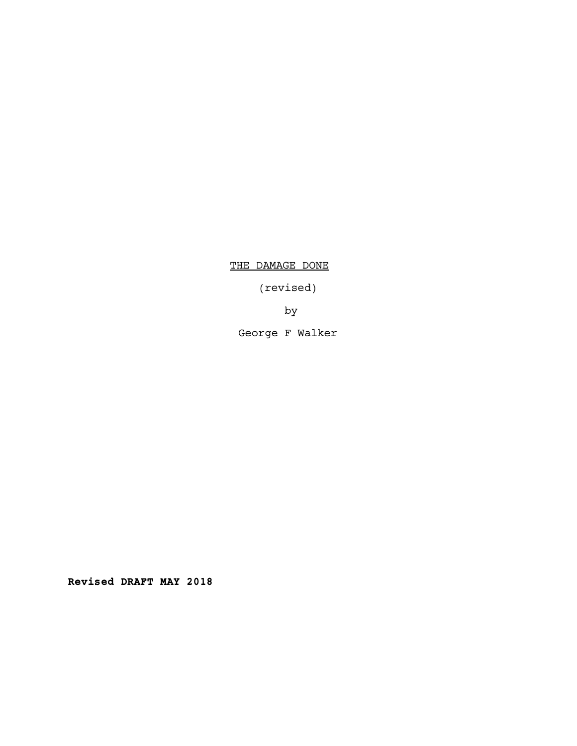THE DAMAGE DONE

(revised)

by

George F Walker

Revised DRAFT MAY 2018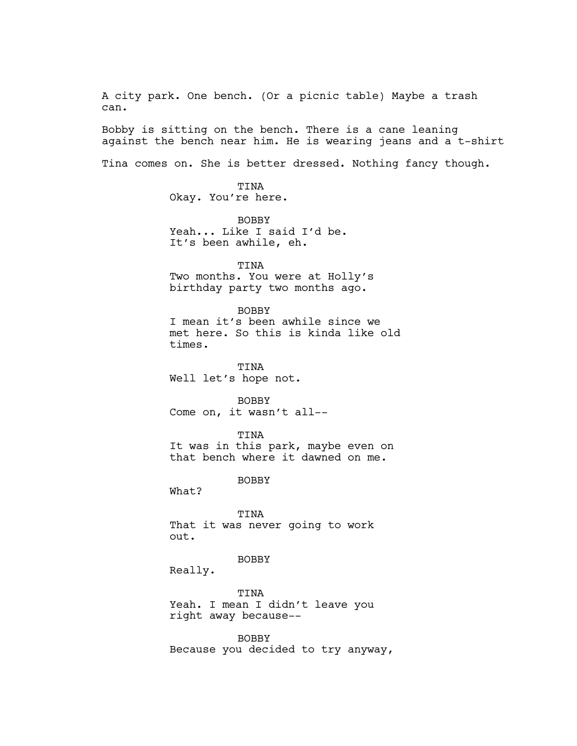A city park. One bench. (Or a picnic table) Maybe a trash can.

Bobby is sitting on the bench. There is a cane leaning against the bench near him. He is wearing jeans and a t-shirt

Tina comes on. She is better dressed. Nothing fancy though.

TINA Okay. You're here.

BOBBY Yeah... Like I said I'd be. It's been awhile, eh.

TINA Two months. You were at Holly's birthday party two months ago.

# BOBBY

I mean it's been awhile since we met here. So this is kinda like old times.

TINA Well let's hope not.

BOBBY Come on, it wasn't all--

TINA It was in this park, maybe even on

that bench where it dawned on me.

BOBBY

What?

TINA That it was never going to work out.

BOBBY

Really.

TINA Yeah. I mean I didn't leave you right away because--

BOBBY Because you decided to try anyway,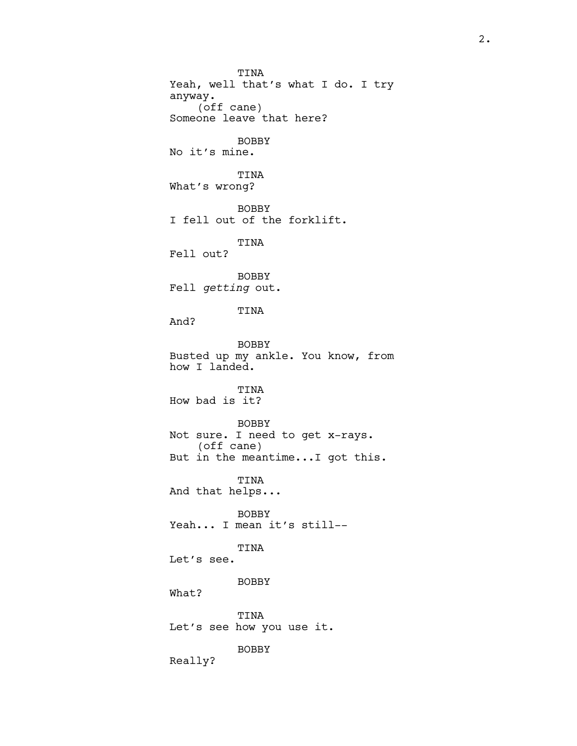TINA Yeah, well that's what I do. I try anyway. (off cane) Someone leave that here? BOBBY No it's mine. TINA What's wrong? BOBBY I fell out of the forklift. TINA Fell out? BOBBY Fell getting out. TINA And? BOBBY Busted up my ankle. You know, from how I landed. TINA How bad is it? BOBBY Not sure. I need to get x-rays. (off cane) But in the meantime...I got this. TINA And that helps... BOBBY Yeah... I mean it's still-- TINA Let's see. BOBBY What? TINA Let's see how you use it. BOBBY

Really?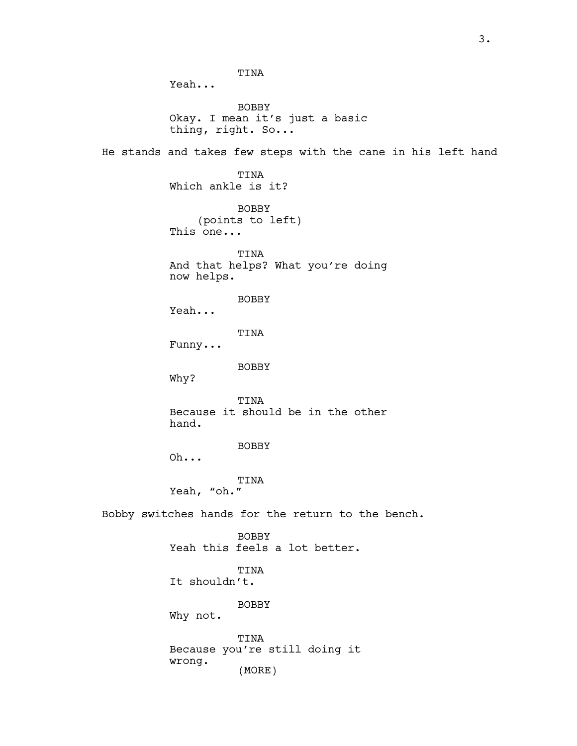TINA Yeah... BOBBY Okay. I mean it's just a basic thing, right. So... He stands and takes few steps with the cane in his left hand TINA Which ankle is it? BOBBY (points to left) This one... TINA And that helps? What you're doing now helps. BOBBY Yeah... TINA Funny... BOBBY Why? TINA Because it should be in the other hand. BOBBY Oh... TINA Yeah, "oh." Bobby switches hands for the return to the bench. BOBBY Yeah this feels a lot better. TINA It shouldn't. BOBBY Why not. TINA Because you're still doing it wrong. (MORE)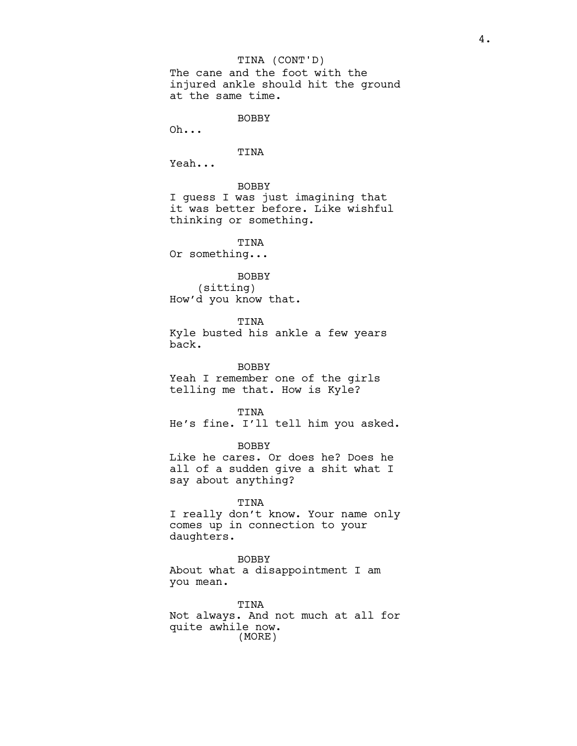The cane and the foot with the injured ankle should hit the ground at the same time. TINA (CONT'D)

BOBBY

Oh...

TINA

Yeah...

BOBBY

I guess I was just imagining that it was better before. Like wishful thinking or something.

TINA Or something...

BOBBY

(sitting) How'd you know that.

TINA Kyle busted his ankle a few years back.

BOBBY Yeah I remember one of the girls telling me that. How is Kyle?

TINA He's fine. I'll tell him you asked.

BOBBY Like he cares. Or does he? Does he all of a sudden give a shit what I say about anything?

TINA I really don't know. Your name only comes up in connection to your daughters.

BOBBY About what a disappointment I am you mean.

TINA Not always. And not much at all for quite awhile now. (MORE)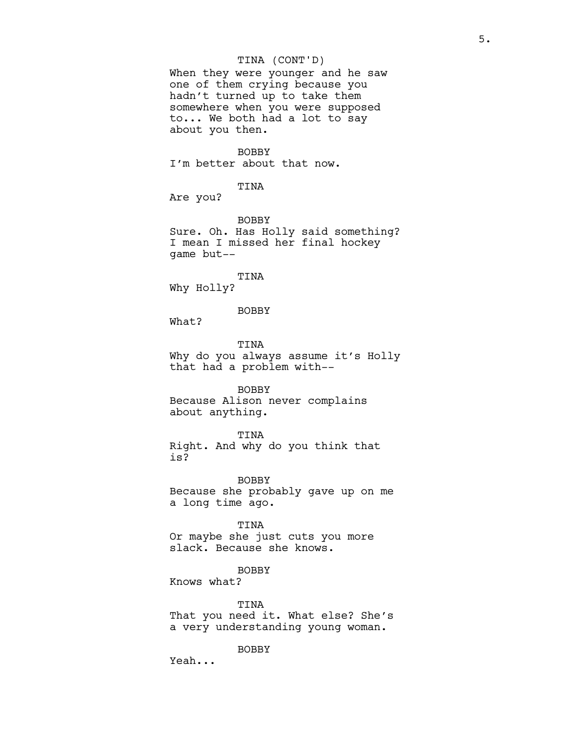# TINA (CONT'D)

When they were younger and he saw one of them crying because you hadn't turned up to take them somewhere when you were supposed to... We both had a lot to say about you then.

BOBBY

I'm better about that now.

# TINA

Are you?

BOBBY

Sure. Oh. Has Holly said something? I mean I missed her final hockey game but--

#### TINA

Why Holly?

BOBBY

What?

TINA Why do you always assume it's Holly that had a problem with--

## BOBBY

Because Alison never complains about anything.

### TINA

Right. And why do you think that is?

BOBBY Because she probably gave up on me a long time ago.

TINA Or maybe she just cuts you more slack. Because she knows.

BOBBY

Knows what?

TINA That you need it. What else? She's a very understanding young woman.

BOBBY

Yeah...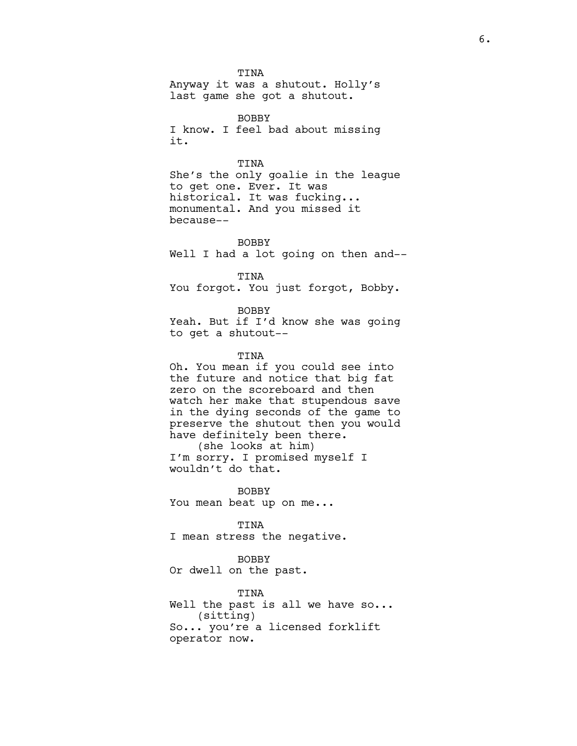TINA Anyway it was a shutout. Holly's last game she got a shutout.

BOBBY I know. I feel bad about missing it.

## TINA

She's the only goalie in the league to get one. Ever. It was historical. It was fucking... monumental. And you missed it because--

**BOBBY** Well I had a lot going on then and--

TINA

You forgot. You just forgot, Bobby.

BOBBY

Yeah. But if I'd know she was going to get a shutout--

TINA

Oh. You mean if you could see into the future and notice that big fat zero on the scoreboard and then watch her make that stupendous save in the dying seconds of the game to preserve the shutout then you would have definitely been there. (she looks at him) I'm sorry. I promised myself I wouldn't do that.

BOBBY You mean beat up on me...

TINA I mean stress the negative.

BOBBY Or dwell on the past.

TINA Well the past is all we have so... (sitting) So... you're a licensed forklift operator now.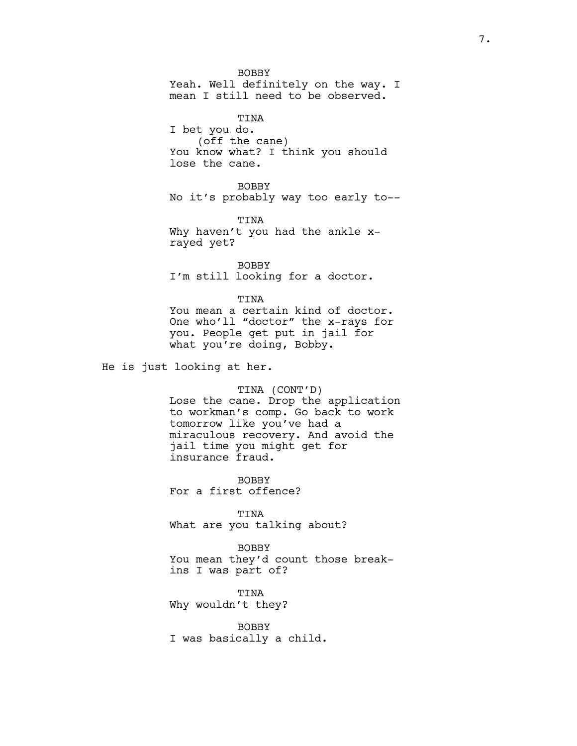BOBBY

Yeah. Well definitely on the way. I mean I still need to be observed.

TINA I bet you do. (off the cane) You know what? I think you should lose the cane.

BOBBY No it's probably way too early to--

TINA Why haven't you had the ankle xrayed yet?

BOBBY I'm still looking for a doctor.

TINA You mean a certain kind of doctor. One who'll "doctor" the x-rays for you. People get put in jail for what you're doing, Bobby.

He is just looking at her.

## TINA (CONT'D)

Lose the cane. Drop the application to workman's comp. Go back to work tomorrow like you've had a miraculous recovery. And avoid the jail time you might get for insurance fraud.

**BOBBY** For a first offence?

TINA What are you talking about?

BOBBY You mean they'd count those breakins I was part of?

TINA Why wouldn't they?

BOBBY I was basically a child.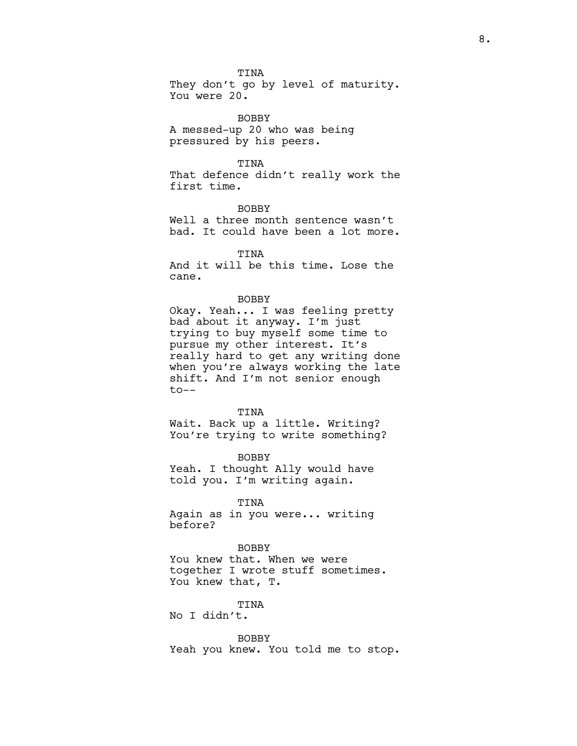TINA They don't go by level of maturity. You were 20.

BOBBY A messed-up 20 who was being pressured by his peers.

## TINA

That defence didn't really work the first time.

BOBBY Well a three month sentence wasn't bad. It could have been a lot more.

TINA

And it will be this time. Lose the cane.

## BOBBY

Okay. Yeah... I was feeling pretty bad about it anyway. I'm just trying to buy myself some time to pursue my other interest. It's really hard to get any writing done when you're always working the late shift. And I'm not senior enough  $to--$ 

#### TINA

Wait. Back up a little. Writing? You're trying to write something?

BOBBY Yeah. I thought Ally would have told you. I'm writing again.

TINA

Again as in you were... writing before?

**BOBBY** You knew that. When we were together I wrote stuff sometimes. You knew that, T.

TINA

No I didn't.

BOBBY

Yeah you knew. You told me to stop.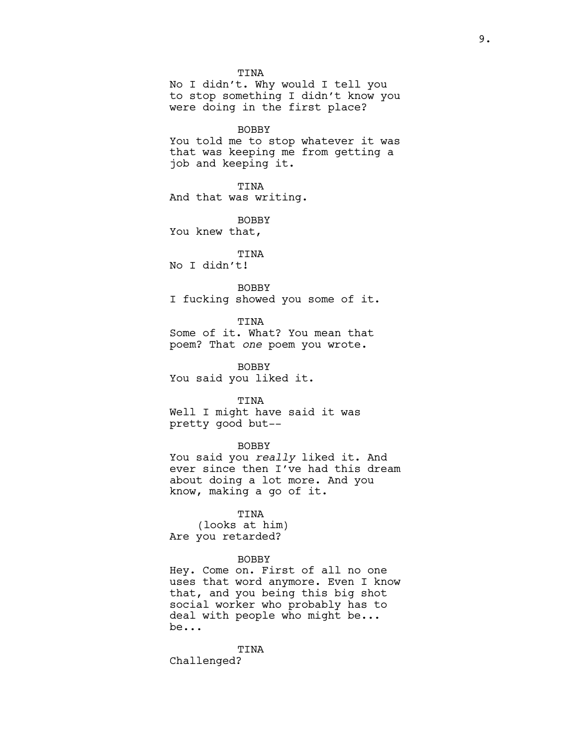TINA No I didn't. Why would I tell you to stop something I didn't know you were doing in the first place?

# BOBBY

You told me to stop whatever it was that was keeping me from getting a job and keeping it.

#### TINA

And that was writing.

BOBBY You knew that,

# TINA

No I didn't!

# BOBBY

I fucking showed you some of it.

# TINA

Some of it. What? You mean that poem? That one poem you wrote.

BOBBY You said you liked it.

#### TINA

Well I might have said it was pretty good but--

# BOBBY

You said you really liked it. And ever since then I've had this dream about doing a lot more. And you know, making a go of it.

TINA (looks at him) Are you retarded?

## BOBBY

Hey. Come on. First of all no one uses that word anymore. Even I know that, and you being this big shot social worker who probably has to deal with people who might be... be...

TINA Challenged?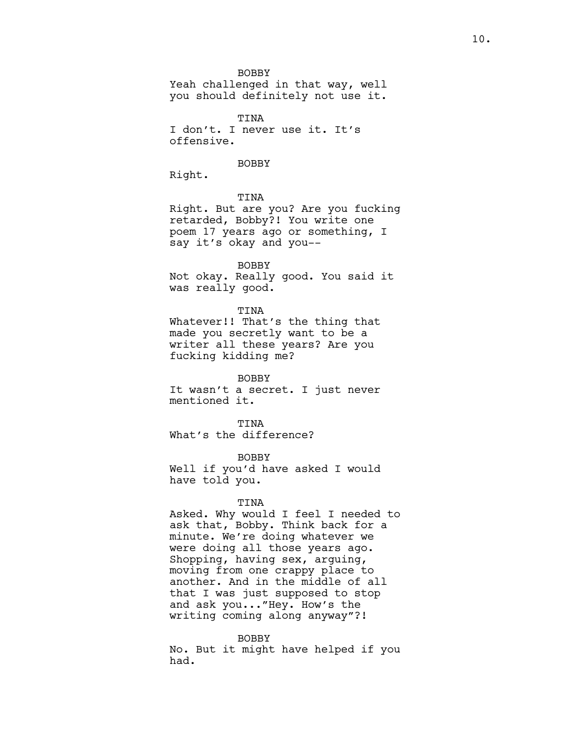BOBBY

Yeah challenged in that way, well you should definitely not use it.

TINA I don't. I never use it. It's offensive.

BOBBY

Right.

TINA

Right. But are you? Are you fucking retarded, Bobby?! You write one poem 17 years ago or something, I say it's okay and you--

BOBBY Not okay. Really good. You said it

was really good.

TINA Whatever!! That's the thing that made you secretly want to be a writer all these years? Are you fucking kidding me?

BOBBY It wasn't a secret. I just never mentioned it.

TINA What's the difference?

BOBBY Well if you'd have asked I would have told you.

# TINA

Asked. Why would I feel I needed to ask that, Bobby. Think back for a minute. We're doing whatever we were doing all those years ago. Shopping, having sex, arguing, moving from one crappy place to another. And in the middle of all that I was just supposed to stop and ask you..."Hey. How's the writing coming along anyway"?!

## BOBBY

No. But it might have helped if you had.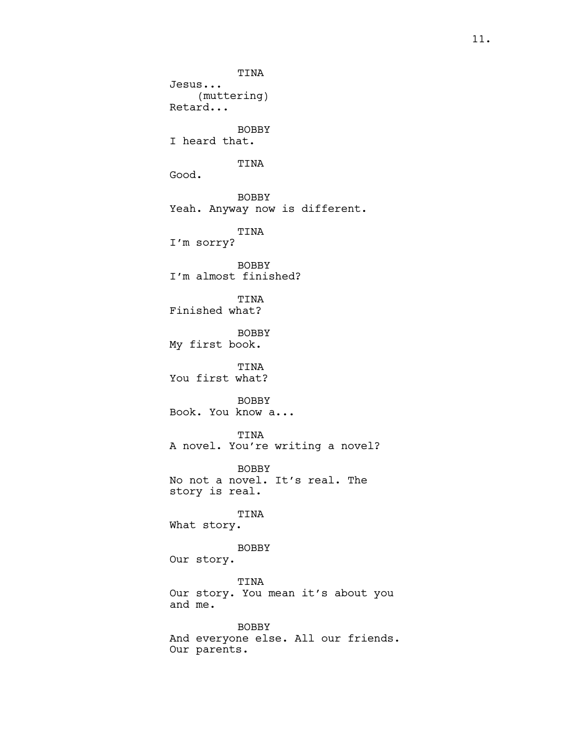TINA Jesus... (muttering) Retard... BOBBY I heard that. TINA Good. BOBBY Yeah. Anyway now is different. TINA I'm sorry? BOBBY I'm almost finished? TINA Finished what? BOBBY My first book. TINA You first what? BOBBY Book. You know a... TINA A novel. You're writing a novel? BOBBY No not a novel. It's real. The story is real. TINA What story. BOBBY Our story. TINA Our story. You mean it's about you and me. BOBBY And everyone else. All our friends. Our parents.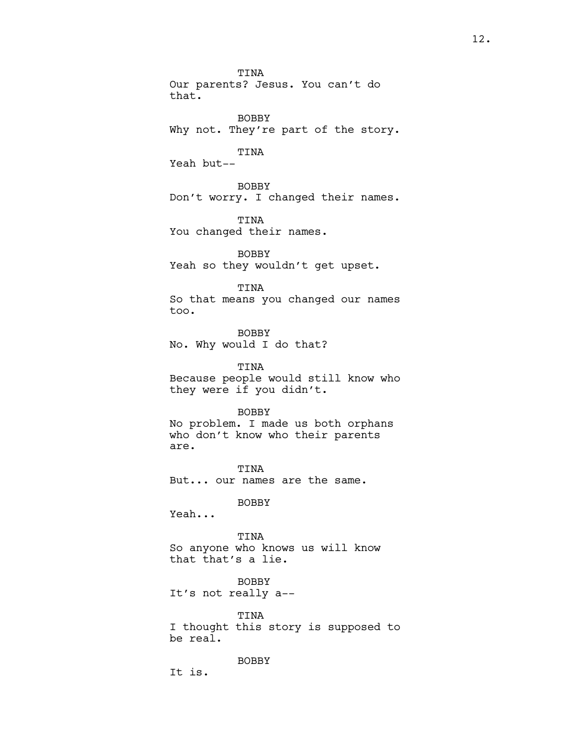TINA Our parents? Jesus. You can't do that.

BOBBY Why not. They're part of the story.

TINA

Yeah but--

BOBBY Don't worry. I changed their names.

TINA You changed their names.

BOBBY Yeah so they wouldn't get upset.

TINA

So that means you changed our names too.

BOBBY No. Why would I do that?

TINA Because people would still know who they were if you didn't.

BOBBY No problem. I made us both orphans who don't know who their parents are.

TINA But... our names are the same.

BOBBY

Yeah...

TINA So anyone who knows us will know that that's a lie.

BOBBY It's not really a--

TINA I thought this story is supposed to be real.

BOBBY

It is.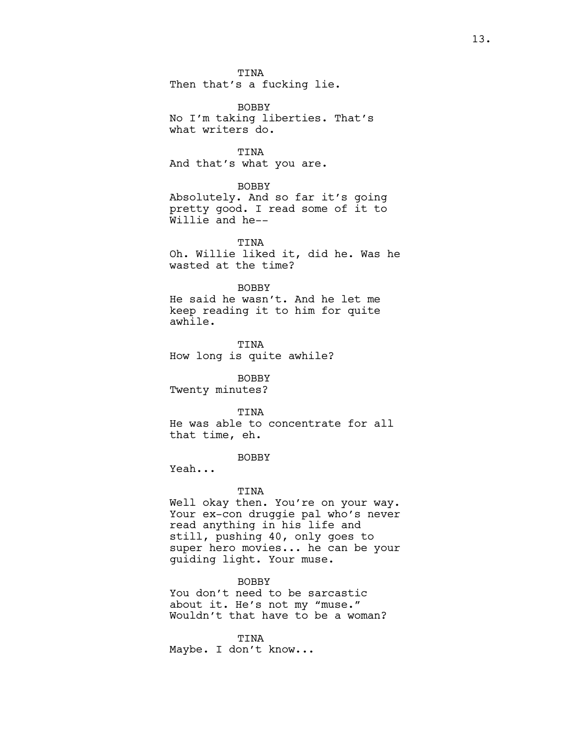TINA Then that's a fucking lie.

BOBBY No I'm taking liberties. That's what writers do.

TINA And that's what you are.

## BOBBY

Absolutely. And so far it's going pretty good. I read some of it to Willie and he--

TINA Oh. Willie liked it, did he. Was he wasted at the time?

## BOBBY

He said he wasn't. And he let me keep reading it to him for quite awhile.

TINA How long is quite awhile?

BOBBY

Twenty minutes?

## TINA

He was able to concentrate for all that time, eh.

# BOBBY

Yeah...

# TINA

Well okay then. You're on your way. Your ex-con druggie pal who's never read anything in his life and still, pushing 40, only goes to super hero movies... he can be your guiding light. Your muse.

# BOBBY

You don't need to be sarcastic about it. He's not my "muse." Wouldn't that have to be a woman?

TINA Maybe. I don't know...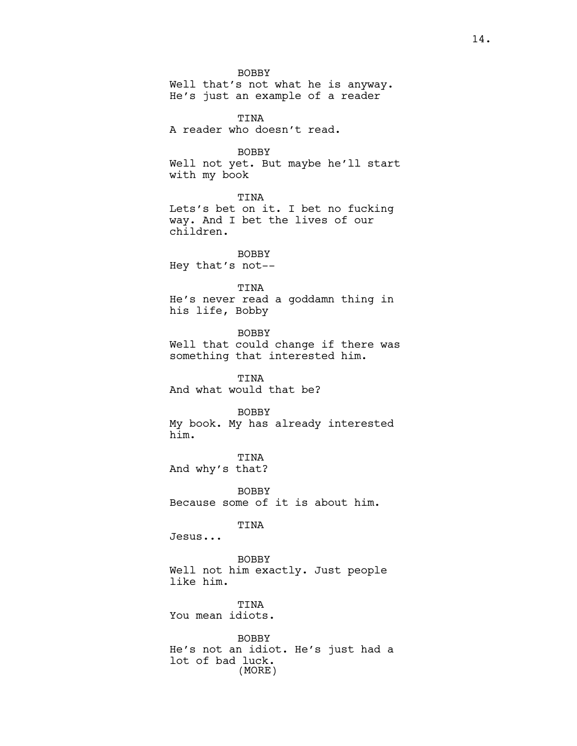BOBBY Well that's not what he is anyway. He's just an example of a reader TINA A reader who doesn't read. BOBBY Well not yet. But maybe he'll start with my book TINA Lets's bet on it. I bet no fucking way. And I bet the lives of our children. BOBBY Hey that's not-- TINA He's never read a goddamn thing in his life, Bobby BOBBY Well that could change if there was something that interested him. TINA And what would that be? BOBBY My book. My has already interested him. TINA And why's that? BOBBY Because some of it is about him. TINA Jesus... BOBBY Well not him exactly. Just people like him. TINA You mean idiots. BOBBY He's not an idiot. He's just had a lot of bad luck. (MORE)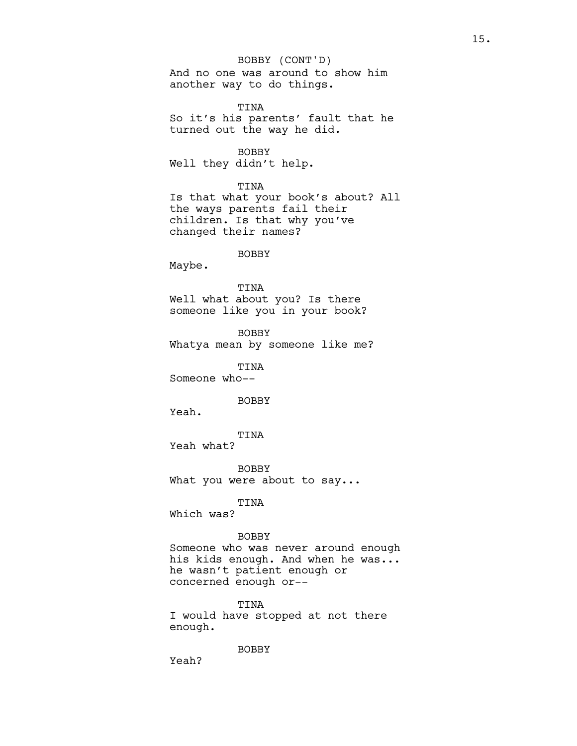# BOBBY (CONT'D)

And no one was around to show him another way to do things.

TINA So it's his parents' fault that he turned out the way he did.

BOBBY

Well they didn't help.

# TINA

Is that what your book's about? All the ways parents fail their children. Is that why you've changed their names?

# BOBBY

Maybe.

## TINA

Well what about you? Is there someone like you in your book?

BOBBY Whatya mean by someone like me?

TINA

Someone who--

BOBBY

Yeah.

TINA

Yeah what?

BOBBY What you were about to say...

# TINA

Which was?

# BOBBY

Someone who was never around enough his kids enough. And when he was... he wasn't patient enough or concerned enough or--

## TINA

I would have stopped at not there enough.

BOBBY

Yeah?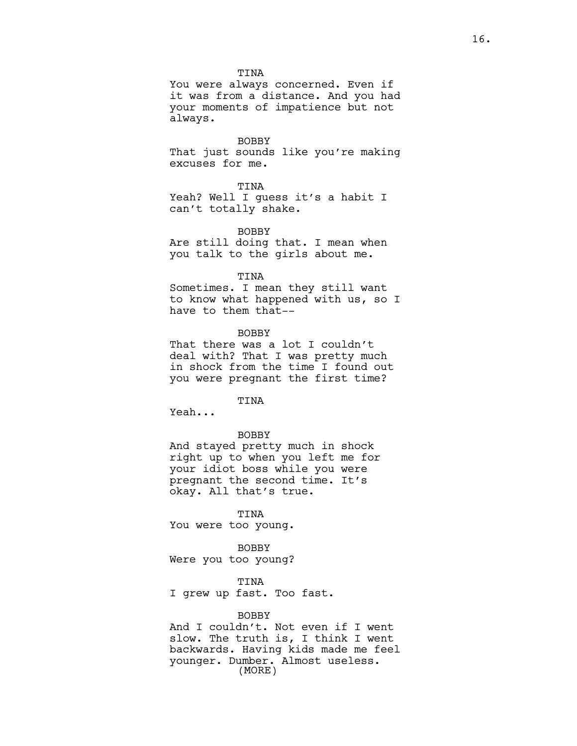TINA

You were always concerned. Even if it was from a distance. And you had your moments of impatience but not always.

BOBBY

That just sounds like you're making excuses for me.

TINA

Yeah? Well I quess it's a habit I can't totally shake.

BOBBY

Are still doing that. I mean when you talk to the girls about me.

## TINA

Sometimes. I mean they still want to know what happened with us, so I have to them that--

BOBBY

That there was a lot I couldn't deal with? That I was pretty much in shock from the time I found out you were pregnant the first time?

TINA

Yeah...

#### BOBBY

And stayed pretty much in shock right up to when you left me for your idiot boss while you were pregnant the second time. It's okay. All that's true.

TINA You were too young.

BOBBY Were you too young?

TINA

I grew up fast. Too fast.

# BOBBY

And I couldn't. Not even if I went slow. The truth is, I think I went backwards. Having kids made me feel younger. Dumber. Almost useless. (MORE)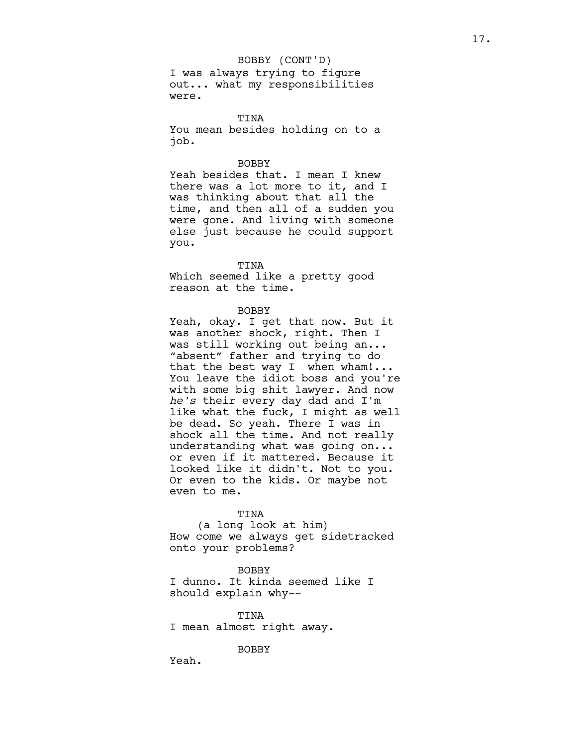## BOBBY (CONT'D)

I was always trying to figure out... what my responsibilities were.

TINA You mean besides holding on to a job.

## BOBBY

Yeah besides that. I mean I knew there was a lot more to it, and I was thinking about that all the time, and then all of a sudden you were gone. And living with someone else just because he could support you.

#### TINA

Which seemed like a pretty good reason at the time.

## BOBBY

Yeah, okay. I get that now. But it was another shock, right. Then I was still working out being an... "absent" father and trying to do that the best way I when wham!... You leave the idiot boss and you're with some big shit lawyer. And now he's their every day dad and I'm like what the fuck, I might as well be dead. So yeah. There I was in shock all the time. And not really understanding what was going on... or even if it mattered. Because it looked like it didn't. Not to you. Or even to the kids. Or maybe not even to me.

## TINA

(a long look at him) How come we always get sidetracked onto your problems?

# **BOBBY**

I dunno. It kinda seemed like I should explain why--

TINA I mean almost right away.

#### BOBBY

Yeah.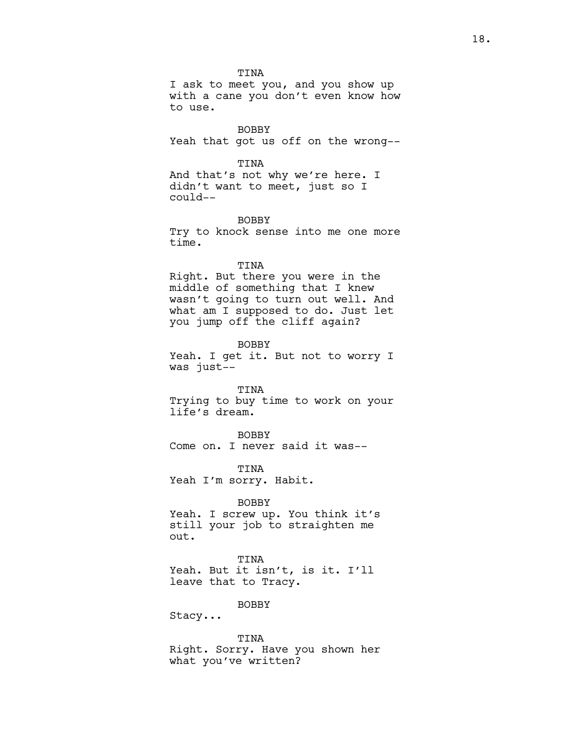TINA I ask to meet you, and you show up with a cane you don't even know how to use.

BOBBY Yeah that got us off on the wrong--

#### TINA

And that's not why we're here. I didn't want to meet, just so I could--

# BOBBY

Try to knock sense into me one more time.

# TINA

Right. But there you were in the middle of something that I knew wasn't going to turn out well. And what am I supposed to do. Just let you jump off the cliff again?

# BOBBY

Yeah. I get it. But not to worry I was just--

# TINA

Trying to buy time to work on your life's dream.

BOBBY Come on. I never said it was--

TINA Yeah I'm sorry. Habit.

## BOBBY

Yeah. I screw up. You think it's still your job to straighten me out.

TINA Yeah. But it isn't, is it. I'll leave that to Tracy.

#### BOBBY

Stacy...

TINA Right. Sorry. Have you shown her what you've written?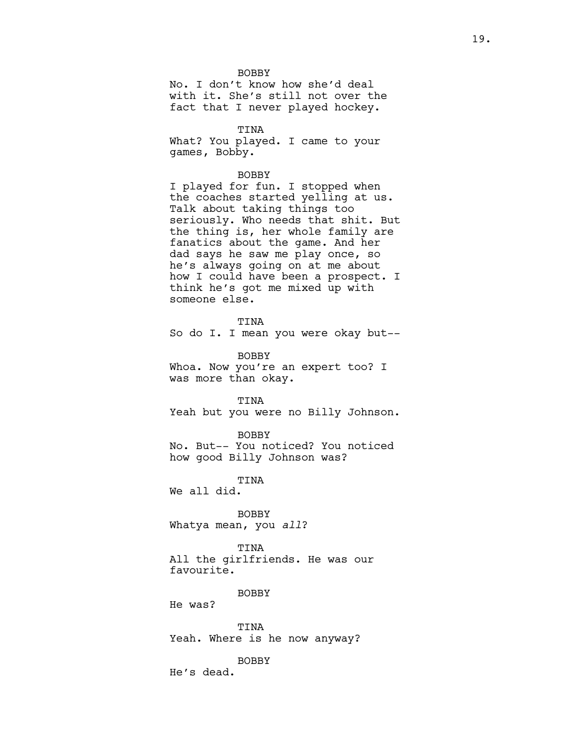**BOBBY** 

No. I don't know how she'd deal with it. She's still not over the fact that I never played hockey.

TINA

What? You played. I came to your games, Bobby.

BOBBY

I played for fun. I stopped when the coaches started yelling at us. Talk about taking things too seriously. Who needs that shit. But the thing is, her whole family are fanatics about the game. And her dad says he saw me play once, so he's always going on at me about how I could have been a prospect. I think he's got me mixed up with someone else.

TINA

So do I. I mean you were okay but--

BOBBY Whoa. Now you're an expert too? I was more than okay.

TINA Yeah but you were no Billy Johnson.

BOBBY

No. But-- You noticed? You noticed how good Billy Johnson was?

TINA

We all did.

BOBBY Whatya mean, you all?

TINA All the girlfriends. He was our favourite.

**BOBBY** 

He was?

TINA Yeah. Where is he now anyway?

BOBBY

He's dead.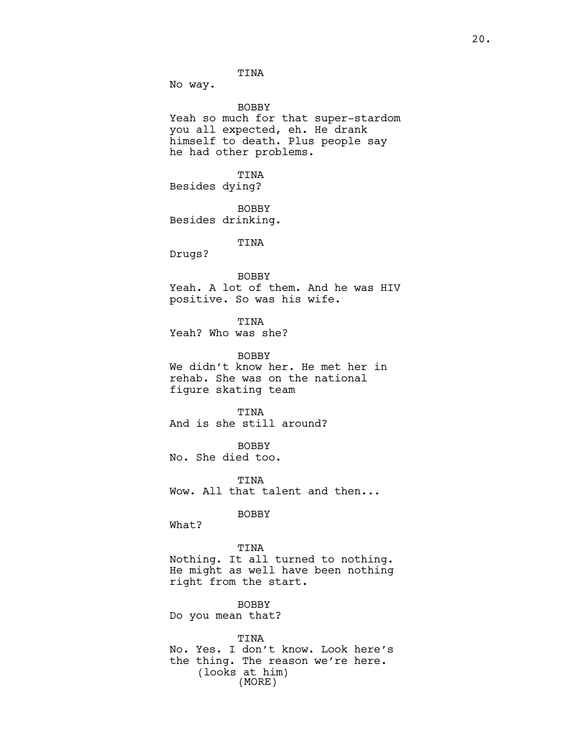TINA

No way.

BOBBY Yeah so much for that super-stardom you all expected, eh. He drank himself to death. Plus people say he had other problems.

TINA Besides dying?

BOBBY Besides drinking.

TINA

Drugs?

BOBBY

Yeah. A lot of them. And he was HIV positive. So was his wife.

TINA Yeah? Who was she?

BOBBY We didn't know her. He met her in rehab. She was on the national figure skating team

TINA And is she still around?

BOBBY No. She died too.

TINA Wow. All that talent and then...

BOBBY

What?

TINA Nothing. It all turned to nothing. He might as well have been nothing right from the start.

BOBBY Do you mean that?

TINA No. Yes. I don't know. Look here's the thing. The reason we're here. (looks at him) (MORE)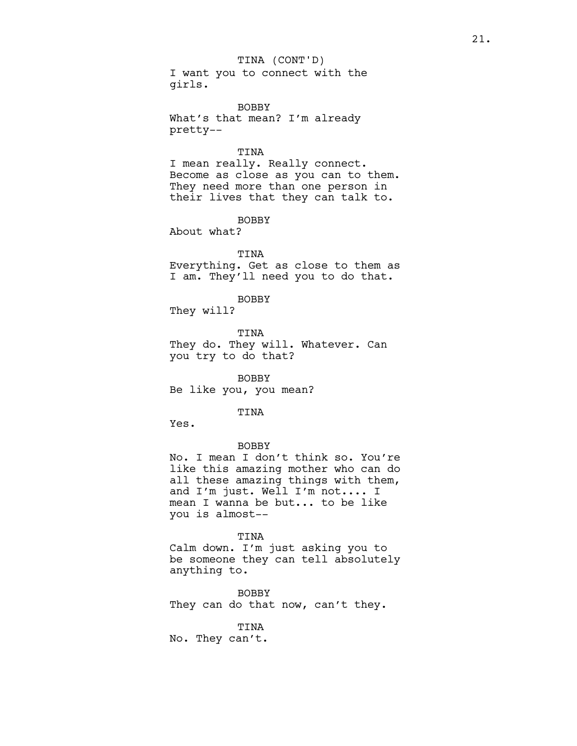I want you to connect with the girls.

BOBBY What's that mean? I'm already pretty--

# TINA

I mean really. Really connect. Become as close as you can to them. They need more than one person in their lives that they can talk to.

BOBBY

About what?

# TINA

Everything. Get as close to them as I am. They'll need you to do that.

BOBBY

They will?

TINA They do. They will. Whatever. Can you try to do that?

BOBBY Be like you, you mean?

# TINA

Yes.

# BOBBY

No. I mean I don't think so. You're like this amazing mother who can do all these amazing things with them, and I'm just. Well I'm not.... I mean I wanna be but... to be like you is almost--

#### TINA

Calm down. I'm just asking you to be someone they can tell absolutely anything to.

BOBBY They can do that now, can't they.

# TINA

No. They can't.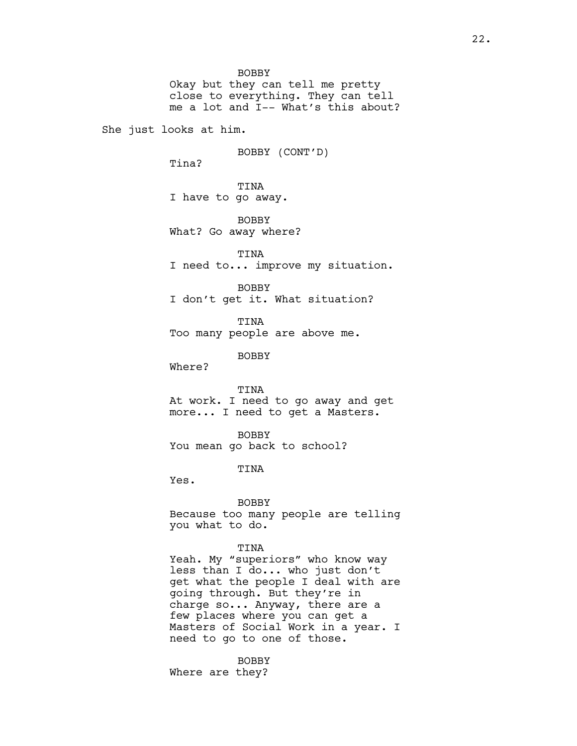BOBBY Okay but they can tell me pretty close to everything. They can tell me a lot and I-- What's this about? She just looks at him. BOBBY (CONT'D) Tina? TINA I have to go away. **BOBBY** What? Go away where? TINA I need to... improve my situation. BOBBY I don't get it. What situation? TINA Too many people are above me. BOBBY Where? TINA At work. I need to go away and get more... I need to get a Masters. BOBBY You mean go back to school? TINA Yes. BOBBY Because too many people are telling you what to do. TINA Yeah. My "superiors" who know way less than I do... who just don't get what the people I deal with are going through. But they're in charge so... Anyway, there are a few places where you can get a Masters of Social Work in a year. I need to go to one of those.

> BOBBY Where are they?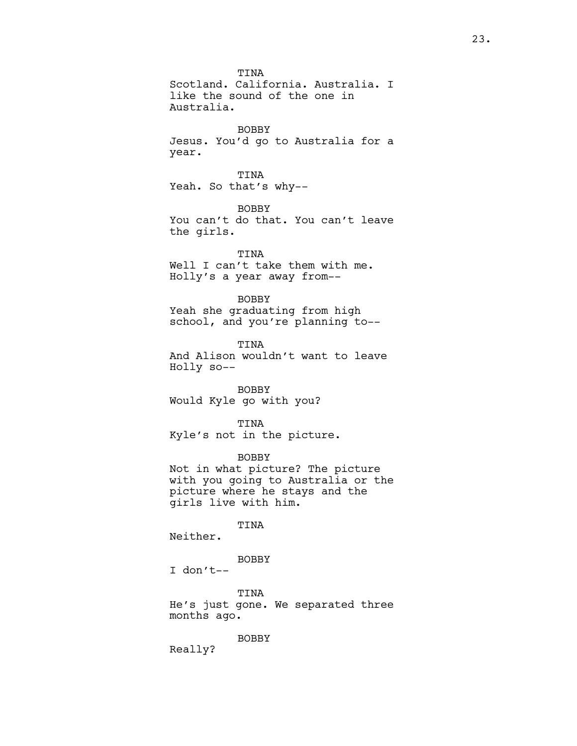TINA Scotland. California. Australia. I like the sound of the one in Australia. BOBBY Jesus. You'd go to Australia for a year. TINA Yeah. So that's why-- BOBBY You can't do that. You can't leave the girls. TINA Well I can't take them with me. Holly's a year away from-- BOBBY Yeah she graduating from high school, and you're planning to-- TINA And Alison wouldn't want to leave Holly so-- BOBBY Would Kyle go with you? TINA Kyle's not in the picture. BOBBY Not in what picture? The picture with you going to Australia or the picture where he stays and the girls live with him. TINA Neither. BOBBY I don't-- TINA

He's just gone. We separated three months ago.

BOBBY

Really?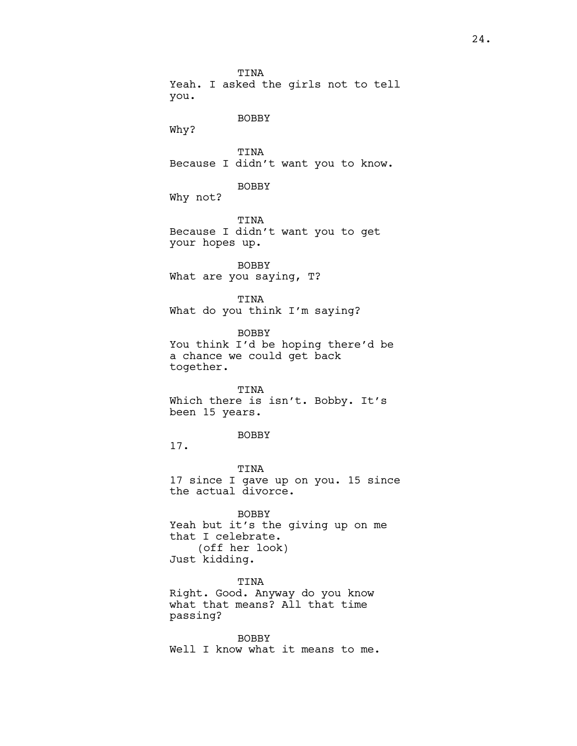TINA Yeah. I asked the girls not to tell you. BOBBY Why? TINA Because I didn't want you to know. BOBBY Why not? TINA Because I didn't want you to get your hopes up. BOBBY What are you saying, T? TINA What do you think I'm saying? BOBBY You think I'd be hoping there'd be a chance we could get back together. TINA Which there is isn't. Bobby. It's been 15 years. BOBBY 17. TINA 17 since I gave up on you. 15 since the actual divorce. BOBBY Yeah but it's the giving up on me that I celebrate. (off her look) Just kidding. TINA Right. Good. Anyway do you know what that means? All that time passing? BOBBY Well I know what it means to me.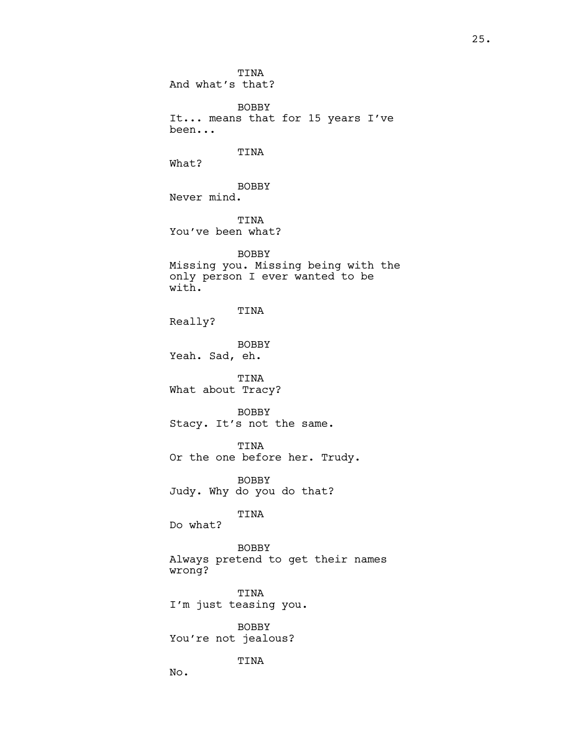TINA And what's that? BOBBY It... means that for 15 years I've been... TINA What? BOBBY Never mind. TINA You've been what? BOBBY Missing you. Missing being with the only person I ever wanted to be with. TINA Really? BOBBY Yeah. Sad, eh. TINA What about Tracy? BOBBY Stacy. It's not the same. TINA Or the one before her. Trudy. BOBBY Judy. Why do you do that? TINA Do what? BOBBY Always pretend to get their names wrong? TINA I'm just teasing you. BOBBY You're not jealous? TINA No.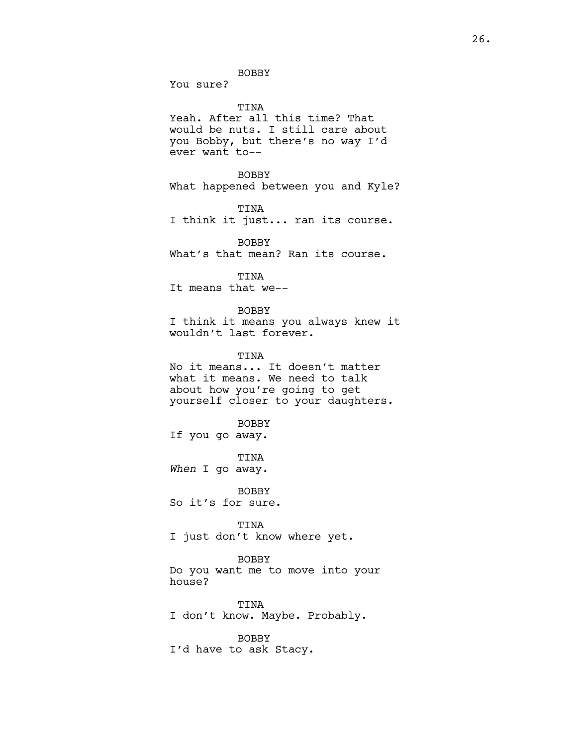You sure?

TINA

Yeah. After all this time? That would be nuts. I still care about you Bobby, but there's no way I'd ever want to--

BOBBY What happened between you and Kyle?

TINA

I think it just... ran its course.

BOBBY What's that mean? Ran its course.

TINA

It means that we--

BOBBY I think it means you always knew it wouldn't last forever.

TINA No it means... It doesn't matter what it means. We need to talk about how you're going to get yourself closer to your daughters.

BOBBY If you go away.

TINA When I go away.

BOBBY So it's for sure.

TINA I just don't know where yet.

BOBBY

Do you want me to move into your house?

TINA I don't know. Maybe. Probably.

BOBBY I'd have to ask Stacy.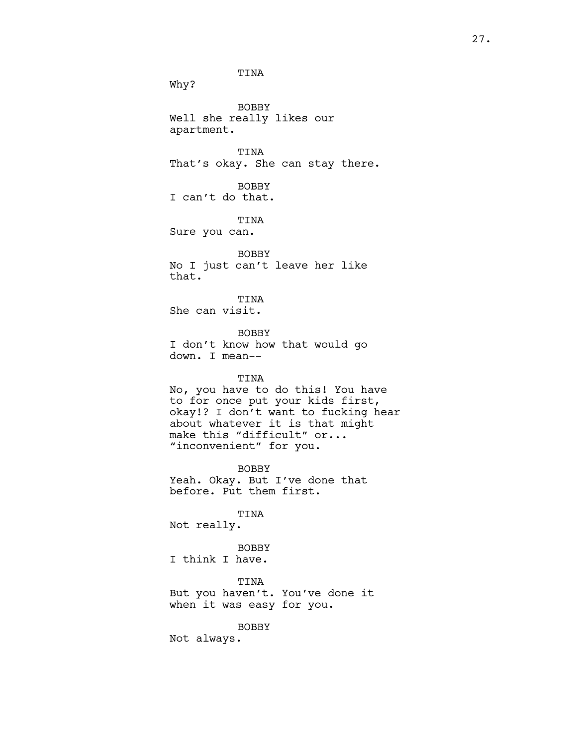TINA Why? BOBBY Well she really likes our apartment. TINA That's okay. She can stay there. BOBBY I can't do that. TINA Sure you can. BOBBY No I just can't leave her like that. TINA She can visit. BOBBY I don't know how that would go down. I mean-- TINA No, you have to do this! You have to for once put your kids first, okay!? I don't want to fucking hear about whatever it is that might make this "difficult" or... "inconvenient" for you. BOBBY Yeah. Okay. But I've done that before. Put them first. TINA Not really. BOBBY I think I have. TINA But you haven't. You've done it when it was easy for you. BOBBY

Not always.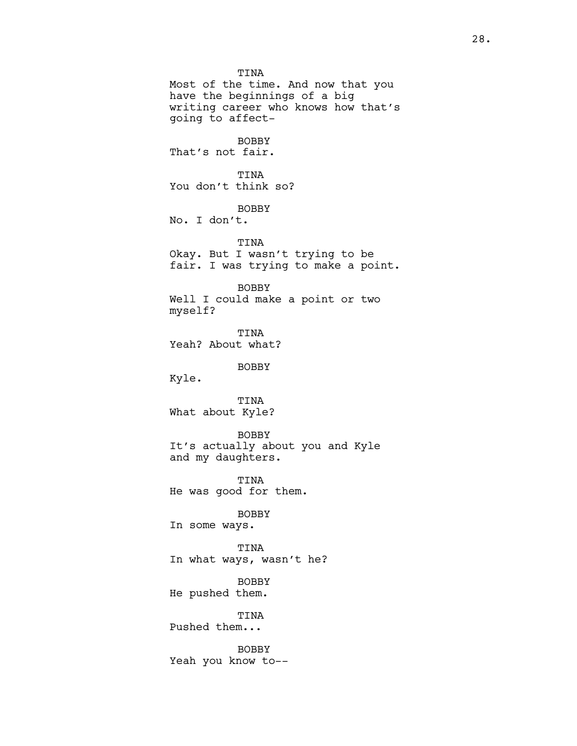TINA Most of the time. And now that you have the beginnings of a big writing career who knows how that's going to affect-BOBBY That's not fair. TINA You don't think so? BOBBY No. I don't. TINA Okay. But I wasn't trying to be fair. I was trying to make a point. BOBBY Well I could make a point or two myself? TINA Yeah? About what? BOBBY Kyle. TINA What about Kyle? BOBBY It's actually about you and Kyle and my daughters. TINA He was good for them. BOBBY In some ways. TINA In what ways, wasn't he? BOBBY He pushed them. TINA Pushed them... BOBBY Yeah you know to--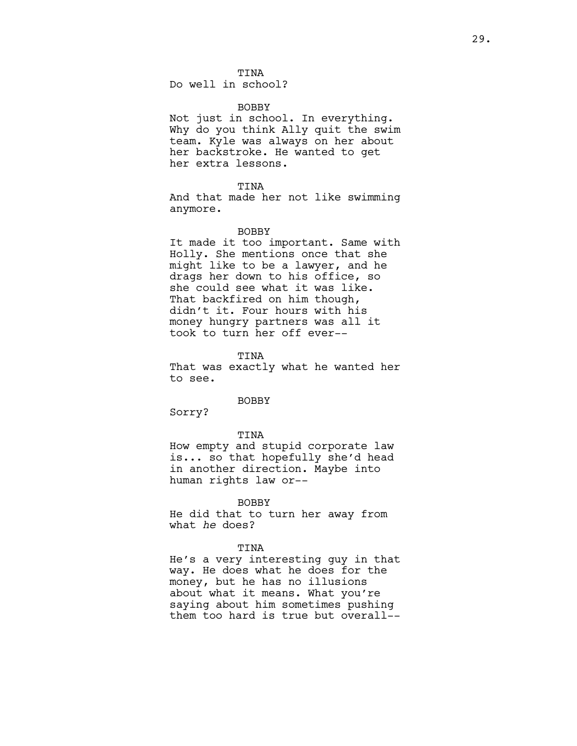Do well in school?

## **BOBBY**

Not just in school. In everything. Why do you think Ally quit the swim team. Kyle was always on her about her backstroke. He wanted to get her extra lessons.

## TINA

And that made her not like swimming anymore.

#### BOBBY

It made it too important. Same with Holly. She mentions once that she might like to be a lawyer, and he drags her down to his office, so she could see what it was like. That backfired on him though, didn't it. Four hours with his money hungry partners was all it took to turn her off ever--

TINA

That was exactly what he wanted her to see.

#### BOBBY

Sorry?

## TINA

How empty and stupid corporate law is... so that hopefully she'd head in another direction. Maybe into human rights law or--

## BOBBY

He did that to turn her away from what he does?

# TINA

He's a very interesting guy in that way. He does what he does for the money, but he has no illusions about what it means. What you're saying about him sometimes pushing them too hard is true but overall--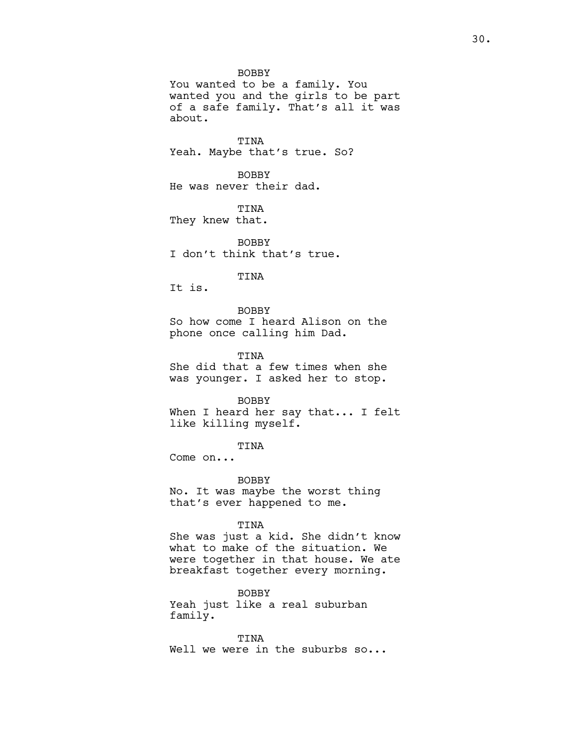BOBBY You wanted to be a family. You wanted you and the girls to be part of a safe family. That's all it was about.

TINA Yeah. Maybe that's true. So?

BOBBY He was never their dad.

TINA They knew that.

BOBBY I don't think that's true.

# TINA

It is.

# BOBBY

So how come I heard Alison on the phone once calling him Dad.

TINA She did that a few times when she was younger. I asked her to stop.

#### BOBBY

When I heard her say that... I felt like killing myself.

TINA

Come on...

BOBBY No. It was maybe the worst thing that's ever happened to me.

## TINA

She was just a kid. She didn't know what to make of the situation. We were together in that house. We ate breakfast together every morning.

BOBBY Yeah just like a real suburban family.

TINA Well we were in the suburbs so...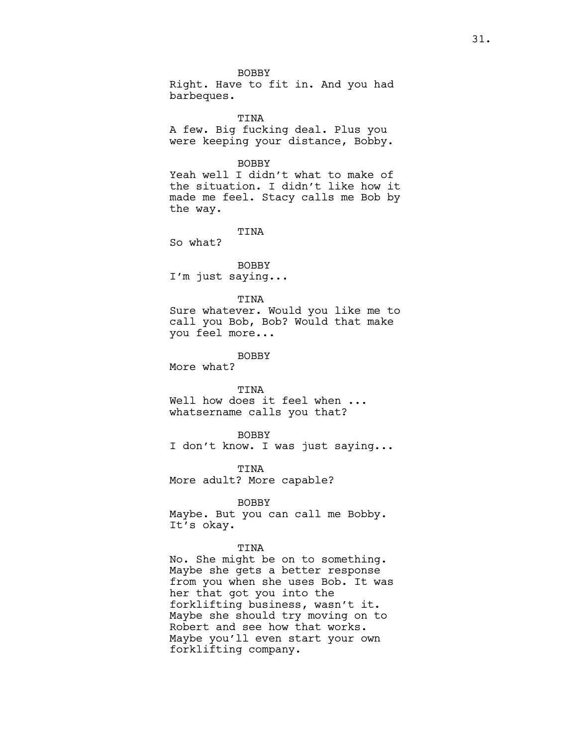BOBBY Right. Have to fit in. And you had barbeques.

TINA A few. Big fucking deal. Plus you were keeping your distance, Bobby.

# BOBBY

Yeah well I didn't what to make of the situation. I didn't like how it made me feel. Stacy calls me Bob by the way.

TINA

So what?

BOBBY I'm just saying...

## TINA

Sure whatever. Would you like me to call you Bob, Bob? Would that make you feel more...

BOBBY

More what?

## TINA

Well how does it feel when ... whatsername calls you that?

## BOBBY

I don't know. I was just saying...

TINA More adult? More capable?

# BOBBY

Maybe. But you can call me Bobby. It's okay.

## TINA

No. She might be on to something. Maybe she gets a better response from you when she uses Bob. It was her that got you into the forklifting business, wasn't it. Maybe she should try moving on to Robert and see how that works. Maybe you'll even start your own forklifting company.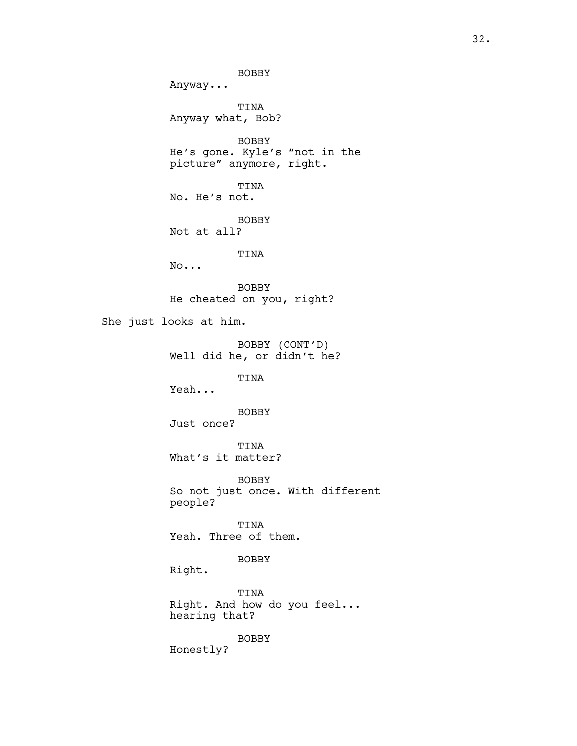BOBBY Anyway... TINA Anyway what, Bob? BOBBY He's gone. Kyle's "not in the picture" anymore, right. TINA No. He's not. BOBBY Not at all? TINA No... BOBBY He cheated on you, right? She just looks at him. BOBBY (CONT'D) Well did he, or didn't he? TINA Yeah... BOBBY Just once? TINA What's it matter? BOBBY So not just once. With different people? TINA Yeah. Three of them. BOBBY Right. TINA Right. And how do you feel... hearing that? BOBBY Honestly?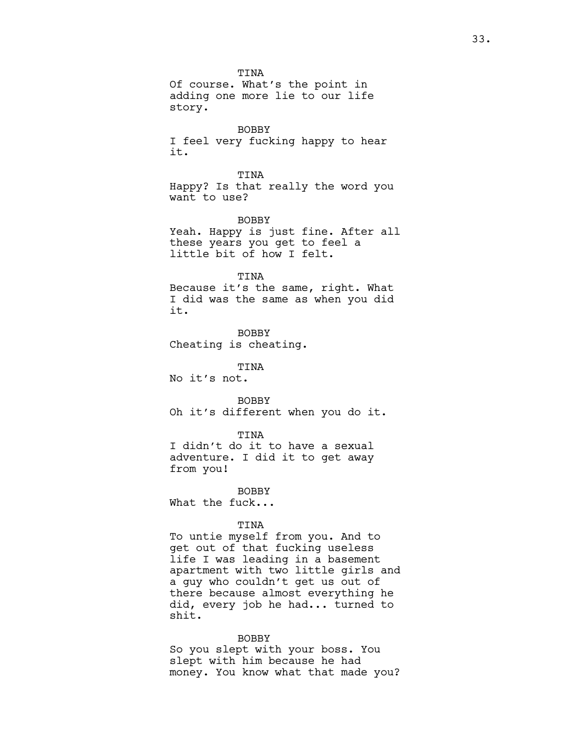TINA Of course. What's the point in adding one more lie to our life story.

BOBBY I feel very fucking happy to hear it.

TINA Happy? Is that really the word you want to use?

BOBBY Yeah. Happy is just fine. After all these years you get to feel a little bit of how I felt.

## TINA

Because it's the same, right. What I did was the same as when you did it.

BOBBY Cheating is cheating.

TINA

No it's not.

BOBBY Oh it's different when you do it.

## TINA

I didn't do it to have a sexual adventure. I did it to get away from you!

**BOBBY** What the fuck...

# TINA

To untie myself from you. And to get out of that fucking useless life I was leading in a basement apartment with two little girls and a guy who couldn't get us out of there because almost everything he did, every job he had... turned to shit.

## BOBBY

So you slept with your boss. You slept with him because he had money. You know what that made you?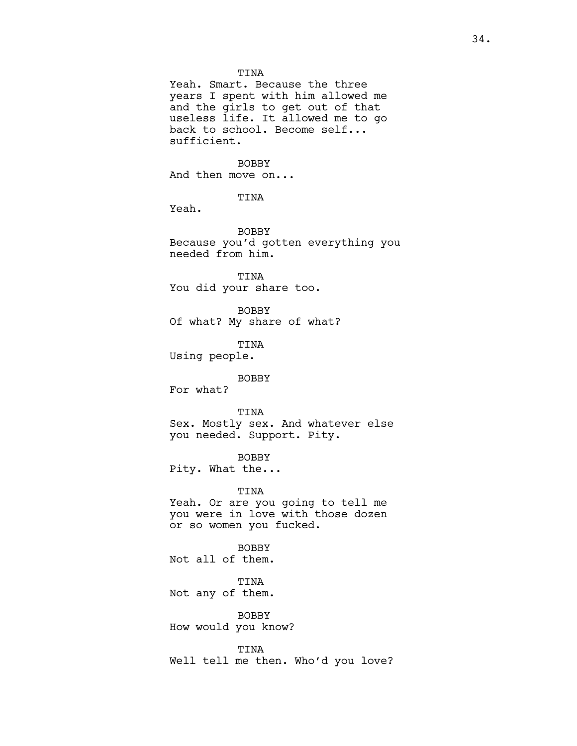# TINA

Yeah. Smart. Because the three years I spent with him allowed me and the girls to get out of that useless life. It allowed me to go back to school. Become self... sufficient.

# BOBBY

And then move on...

TINA

Yeah.

BOBBY Because you'd gotten everything you needed from him.

TINA You did your share too.

BOBBY Of what? My share of what?

TINA Using people.

# BOBBY

For what?

#### TINA

Sex. Mostly sex. And whatever else you needed. Support. Pity.

## BOBBY

Pity. What the...

## TINA

Yeah. Or are you going to tell me you were in love with those dozen or so women you fucked.

BOBBY Not all of them.

TINA Not any of them.

BOBBY How would you know?

TINA Well tell me then. Who'd you love?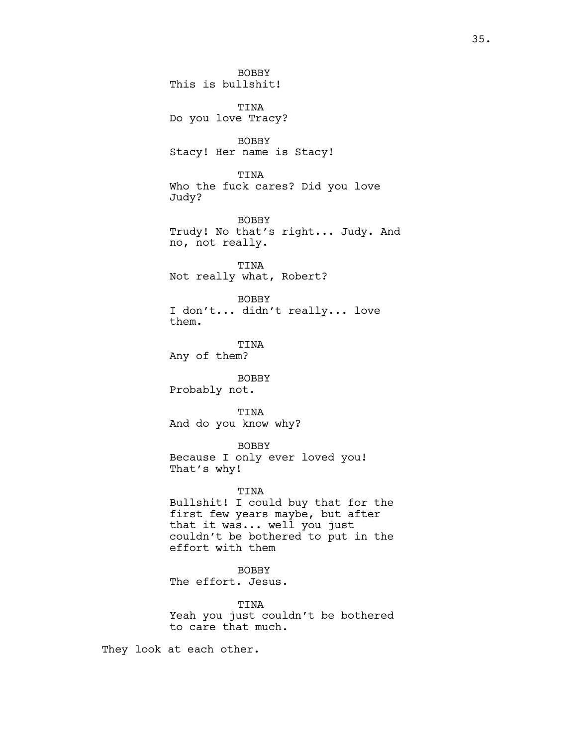BOBBY This is bullshit! TINA Do you love Tracy? BOBBY Stacy! Her name is Stacy! TINA Who the fuck cares? Did you love Judy? BOBBY Trudy! No that's right... Judy. And no, not really. TINA Not really what, Robert? BOBBY I don't... didn't really... love them. TINA Any of them? BOBBY Probably not. TINA And do you know why? BOBBY Because I only ever loved you! That's why! TINA Bullshit! I could buy that for the first few years maybe, but after that it was... well you just couldn't be bothered to put in the effort with them BOBBY The effort. Jesus. TINA Yeah you just couldn't be bothered to care that much.

They look at each other.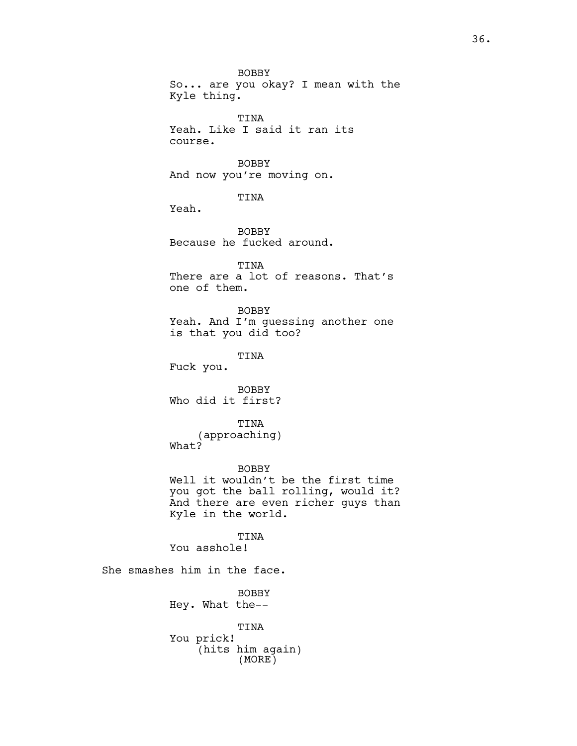BOBBY So... are you okay? I mean with the Kyle thing.

TINA Yeah. Like I said it ran its course.

BOBBY And now you're moving on.

TINA

Yeah.

BOBBY Because he fucked around.

TINA There are a lot of reasons. That's one of them.

BOBBY Yeah. And I'm guessing another one is that you did too?

TINA

Fuck you.

BOBBY Who did it first?

TINA (approaching) What?

BOBBY Well it wouldn't be the first time you got the ball rolling, would it? And there are even richer guys than Kyle in the world.

TINA You asshole!

She smashes him in the face.

BOBBY Hey. What the--

TINA You prick! (hits him again) (MORE)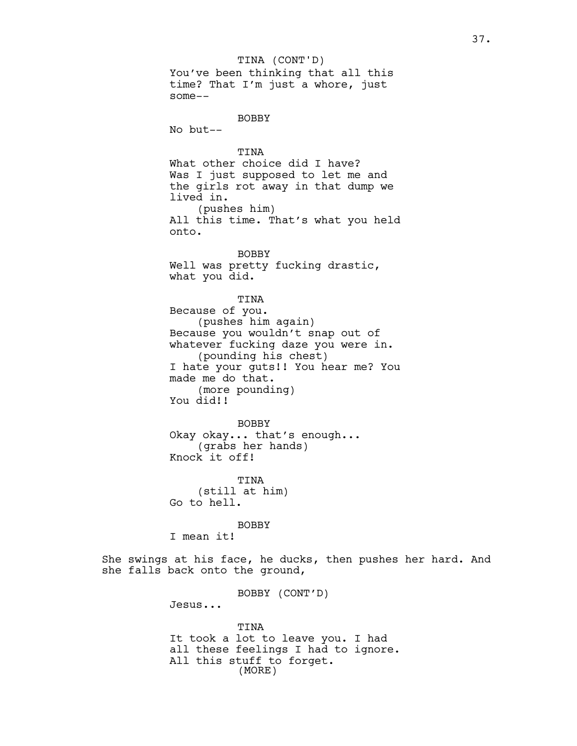You've been thinking that all this time? That I'm just a whore, just some-- BOBBY No but-- TINA What other choice did I have? Was I just supposed to let me and the girls rot away in that dump we lived in. (pushes him) All this time. That's what you held onto. BOBBY Well was pretty fucking drastic, what you did. TINA Because of you. (pushes him again) Because you wouldn't snap out of whatever fucking daze you were in. (pounding his chest) I hate your guts!! You hear me? You made me do that. (more pounding) You did!! BOBBY Okay okay... that's enough... (grabs her hands) Knock it off! TINA (still at him) Go to hell. BOBBY I mean it! She swings at his face, he ducks, then pushes her hard. And she falls back onto the ground, BOBBY (CONT'D) Jesus... TINA It took a lot to leave you. I had all these feelings I had to ignore. All this stuff to forget. TINA (CONT'D) (MORE)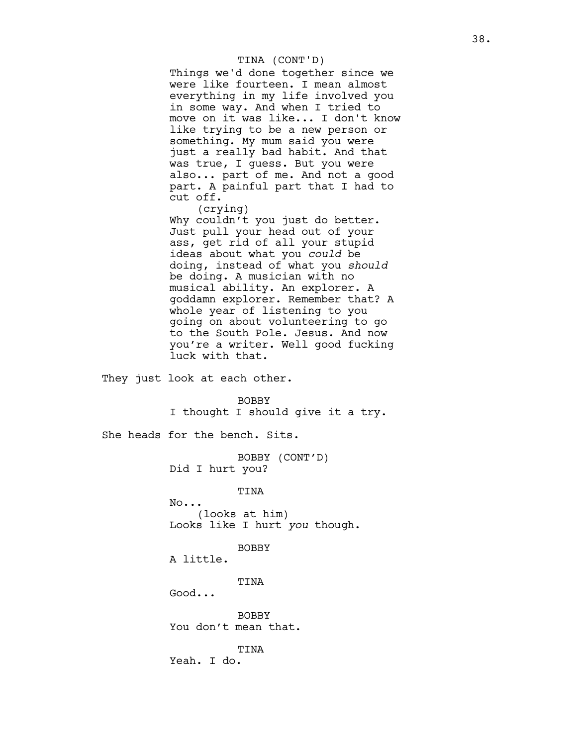# TINA (CONT'D)

Things we'd done together since we were like fourteen. I mean almost everything in my life involved you in some way. And when I tried to move on it was like... I don't know like trying to be a new person or something. My mum said you were just a really bad habit. And that was true, I guess. But you were also... part of me. And not a good part. A painful part that I had to cut off.

(crying) Why couldn't you just do better. Just pull your head out of your ass, get rid of all your stupid ideas about what you could be doing, instead of what you should be doing. A musician with no musical ability. An explorer. A goddamn explorer. Remember that? A

whole year of listening to you going on about volunteering to go to the South Pole. Jesus. And now you're a writer. Well good fucking luck with that.

They just look at each other.

#### BOBBY

I thought I should give it a try.

She heads for the bench. Sits.

BOBBY (CONT'D) Did I hurt you?

TINA

No... (looks at him) Looks like I hurt you though.

**BOBBY** 

A little.

TINA

Good...

BOBBY You don't mean that.

TINA Yeah. I do.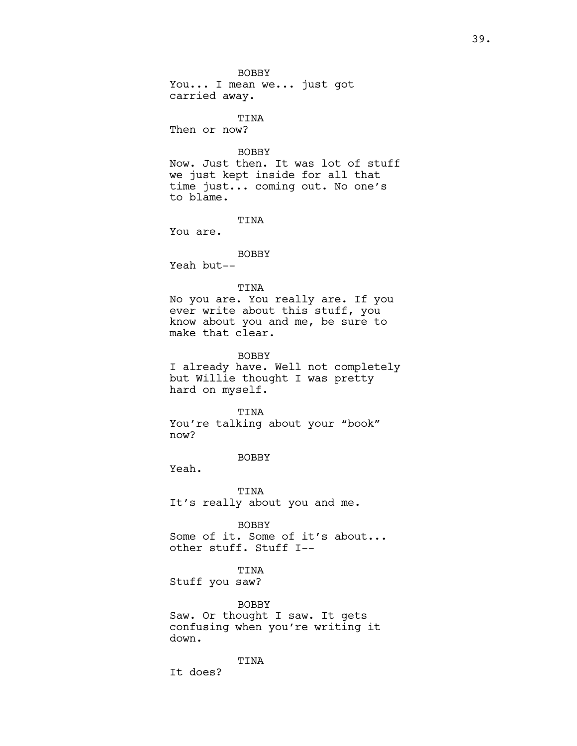BOBBY You... I mean we... just got carried away. TINA Then or now? BOBBY Now. Just then. It was lot of stuff we just kept inside for all that time just... coming out. No one's to blame. TINA You are. BOBBY Yeah but-- TINA No you are. You really are. If you ever write about this stuff, you know about you and me, be sure to make that clear. BOBBY I already have. Well not completely but Willie thought I was pretty hard on myself. TINA You're talking about your "book" now? BOBBY Yeah. TINA It's really about you and me. BOBBY Some of it. Some of it's about... other stuff. Stuff I-- TINA Stuff you saw? BOBBY Saw. Or thought I saw. It gets confusing when you're writing it

down.

It does?

TINA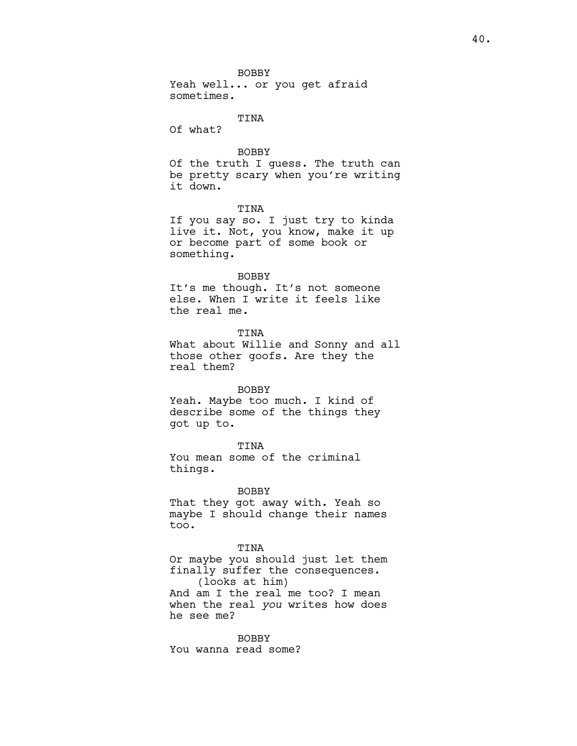BOBBY Yeah well... or you get afraid sometimes.

### TINA

Of what?

# BOBBY

Of the truth I guess. The truth can be pretty scary when you're writing it down.

# TINA

If you say so. I just try to kinda live it. Not, you know, make it up or become part of some book or something.

# BOBBY

It's me though. It's not someone else. When I write it feels like the real me.

TINA What about Willie and Sonny and all those other goofs. Are they the real them?

#### BOBBY

Yeah. Maybe too much. I kind of describe some of the things they got up to.

# TINA

You mean some of the criminal things.

# BOBBY

That they got away with. Yeah so maybe I should change their names too.

# TINA

Or maybe you should just let them finally suffer the consequences. (looks at him) And am I the real me too? I mean

when the real you writes how does he see me?

BOBBY You wanna read some?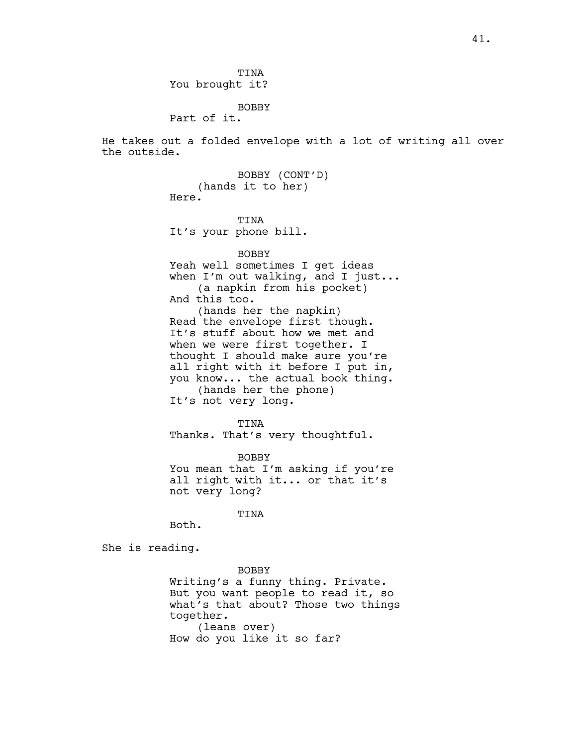TINA You brought it?

BOBBY

Part of it.

He takes out a folded envelope with a lot of writing all over the outside.

> BOBBY (CONT'D) (hands it to her) Here.

TINA It's your phone bill.

BOBBY

Yeah well sometimes I get ideas when I'm out walking, and I just... (a napkin from his pocket) And this too. (hands her the napkin) Read the envelope first though. It's stuff about how we met and when we were first together. I thought I should make sure you're all right with it before I put in, you know... the actual book thing. (hands her the phone) It's not very long.

TINA Thanks. That's very thoughtful.

BOBBY You mean that I'm asking if you're all right with it... or that it's not very long?

TINA

She is reading.

Both.

BOBBY Writing's a funny thing. Private. But you want people to read it, so what's that about? Those two things together. (leans over) How do you like it so far?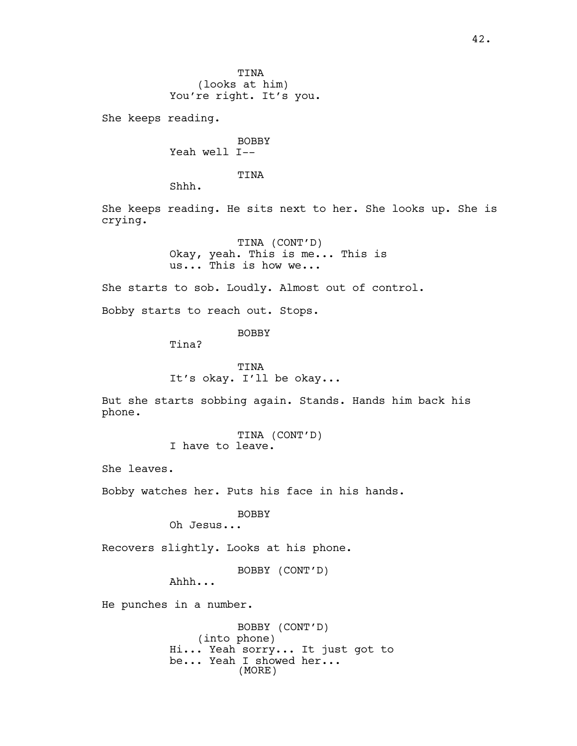TINA (looks at him) You're right. It's you.

She keeps reading.

BOBBY Yeah well I--

TINA

Shhh.

She keeps reading. He sits next to her. She looks up. She is crying.

> TINA (CONT'D) Okay, yeah. This is me... This is us... This is how we...

She starts to sob. Loudly. Almost out of control.

Bobby starts to reach out. Stops.

BOBBY

Tina?

TINA It's okay. I'll be okay...

But she starts sobbing again. Stands. Hands him back his phone.

> TINA (CONT'D) I have to leave.

She leaves.

Bobby watches her. Puts his face in his hands.

BOBBY

Oh Jesus...

Recovers slightly. Looks at his phone.

BOBBY (CONT'D)

Ahhh...

He punches in a number.

BOBBY (CONT'D) (into phone) Hi... Yeah sorry... It just got to be... Yeah I showed her... (MORE)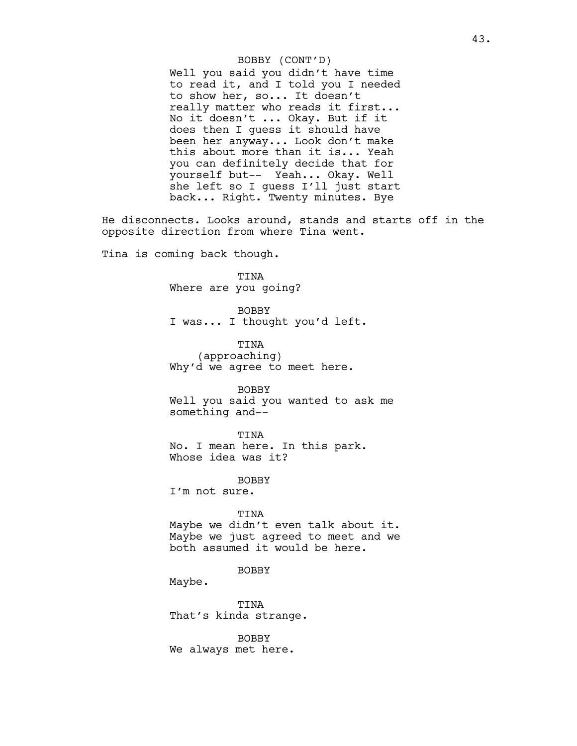### BOBBY (CONT'D)

Well you said you didn't have time to read it, and I told you I needed to show her, so... It doesn't really matter who reads it first... No it doesn't ... Okay. But if it does then I guess it should have been her anyway... Look don't make this about more than it is... Yeah you can definitely decide that for yourself but-- Yeah... Okay. Well she left so I guess I'll just start back... Right. Twenty minutes. Bye

He disconnects. Looks around, stands and starts off in the opposite direction from where Tina went.

Tina is coming back though.

TINA Where are you going?

BOBBY I was... I thought you'd left.

TINA (approaching) Why'd we agree to meet here.

BOBBY Well you said you wanted to ask me something and--

TINA No. I mean here. In this park. Whose idea was it?

BOBBY I'm not sure.

TINA Maybe we didn't even talk about it. Maybe we just agreed to meet and we both assumed it would be here.

BOBBY

Maybe.

TINA That's kinda strange.

BOBBY We always met here.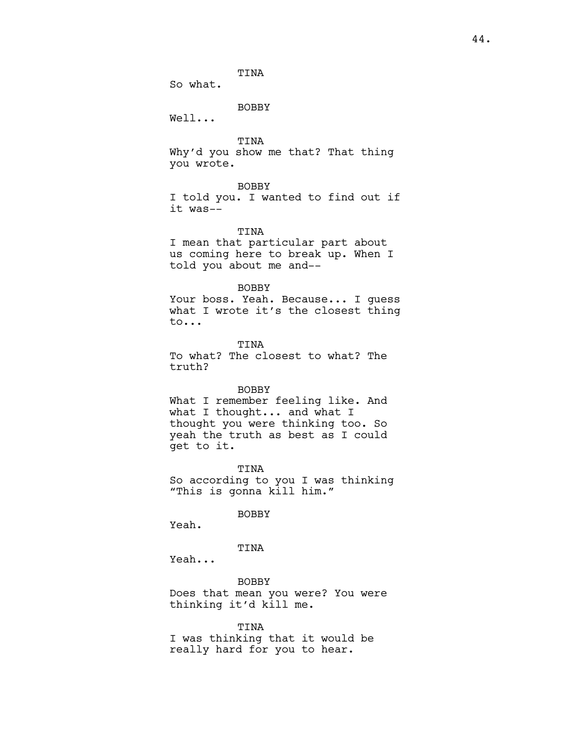TINA

So what.

BOBBY

Well...

TINA

Why'd you show me that? That thing you wrote.

### BOBBY

I told you. I wanted to find out if it was--

## TINA

I mean that particular part about us coming here to break up. When I told you about me and--

# BOBBY

Your boss. Yeah. Because... I guess what I wrote it's the closest thing to...

**TINA** To what? The closest to what? The truth?

#### BOBBY

What I remember feeling like. And what I thought... and what I thought you were thinking too. So yeah the truth as best as I could get to it.

TINA So according to you I was thinking "This is gonna kill him."

BOBBY

Yeah.

# TINA

Yeah...

BOBBY Does that mean you were? You were thinking it'd kill me.

TINA I was thinking that it would be really hard for you to hear.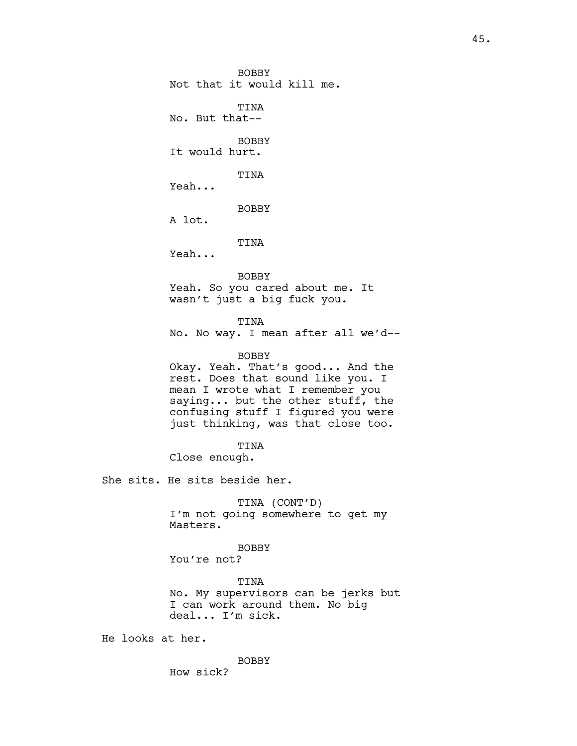BOBBY Not that it would kill me.

TINA No. But that--

BOBBY It would hurt.

TINA

Yeah...

BOBBY

A lot.

TINA

Yeah...

BOBBY

Yeah. So you cared about me. It wasn't just a big fuck you.

TINA

No. No way. I mean after all we'd--

BOBBY

Okay. Yeah. That's good... And the rest. Does that sound like you. I mean I wrote what I remember you saying... but the other stuff, the confusing stuff I figured you were just thinking, was that close too.

TINA

Close enough.

She sits. He sits beside her.

TINA (CONT'D) I'm not going somewhere to get my Masters.

**BOBBY** 

You're not?

TINA No. My supervisors can be jerks but I can work around them. No big deal... I'm sick.

He looks at her.

BOBBY

How sick?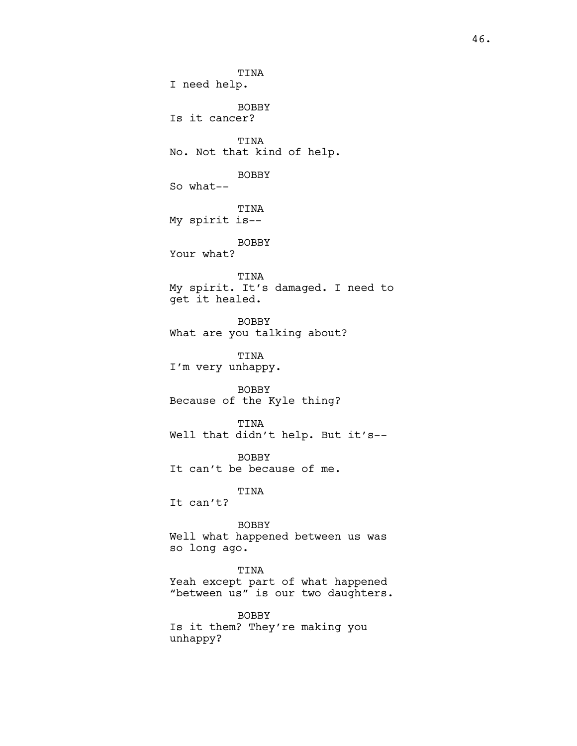TINA I need help. BOBBY Is it cancer? TINA No. Not that kind of help. BOBBY So what-- TINA My spirit is-- BOBBY Your what? TINA My spirit. It's damaged. I need to get it healed. BOBBY What are you talking about? TINA I'm very unhappy. BOBBY Because of the Kyle thing? TINA Well that didn't help. But it's-- BOBBY It can't be because of me. TINA It can't? BOBBY Well what happened between us was so long ago. TINA Yeah except part of what happened "between us" is our two daughters. BOBBY

Is it them? They're making you unhappy?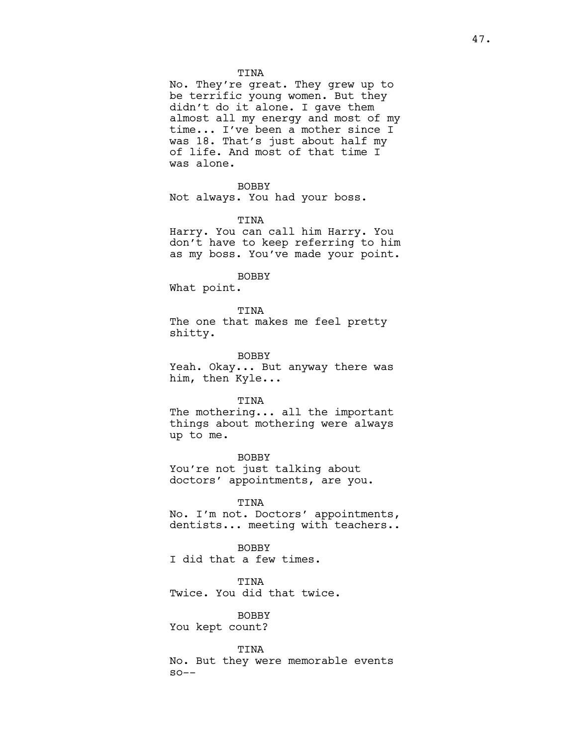# TINA

No. They're great. They grew up to be terrific young women. But they didn't do it alone. I gave them almost all my energy and most of my time... I've been a mother since I was 18. That's just about half my of life. And most of that time I was alone.

# BOBBY

Not always. You had your boss.

### TINA

Harry. You can call him Harry. You don't have to keep referring to him as my boss. You've made your point.

#### BOBBY

What point.

TINA The one that makes me feel pretty shitty.

BOBBY

Yeah. Okay... But anyway there was him, then Kyle...

### TINA

The mothering... all the important things about mothering were always up to me.

BOBBY You're not just talking about doctors' appointments, are you.

# TINA

No. I'm not. Doctors' appointments, dentists... meeting with teachers..

**BOBBY** I did that a few times.

# TINA

Twice. You did that twice.

### BOBBY

You kept count?

### TINA

No. But they were memorable events  $SO--$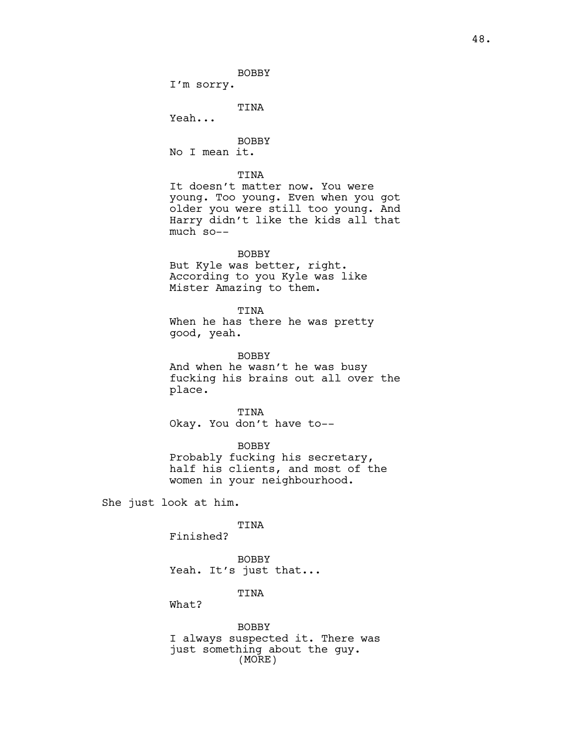BOBBY I'm sorry. TINA Yeah... BOBBY No I mean it. TINA It doesn't matter now. You were young. Too young. Even when you got older you were still too young. And Harry didn't like the kids all that much so-- BOBBY But Kyle was better, right. According to you Kyle was like Mister Amazing to them. TINA When he has there he was pretty good, yeah. BOBBY And when he wasn't he was busy fucking his brains out all over the place. TINA Okay. You don't have to-- BOBBY

Probably fucking his secretary, half his clients, and most of the women in your neighbourhood.

She just look at him.

TINA

Finished?

BOBBY Yeah. It's just that...

TINA

What?

BOBBY I always suspected it. There was just something about the guy. (MORE)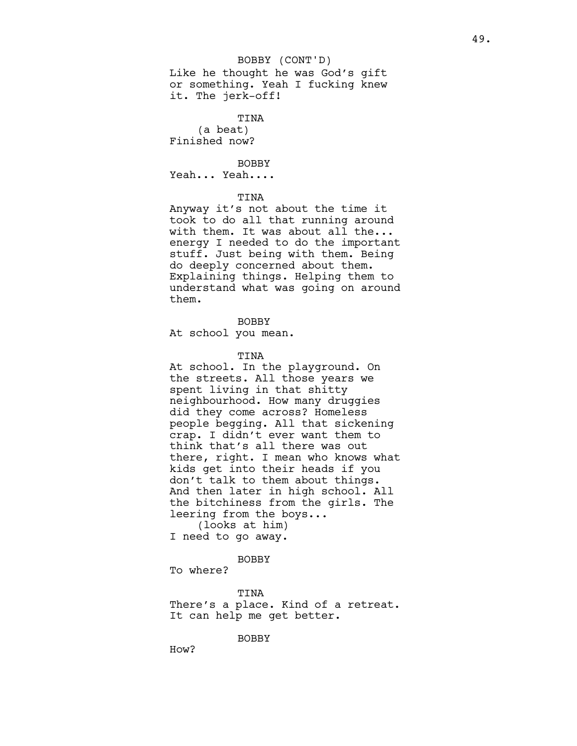### BOBBY (CONT'D)

Like he thought he was God's gift or something. Yeah I fucking knew it. The jerk-off!

TINA (a beat) Finished now?

BOBBY

Yeah... Yeah....

# TINA

Anyway it's not about the time it took to do all that running around with them. It was about all the... energy I needed to do the important stuff. Just being with them. Being do deeply concerned about them. Explaining things. Helping them to understand what was going on around them.

# BOBBY

At school you mean.

### TINA

At school. In the playground. On the streets. All those years we spent living in that shitty neighbourhood. How many druggies did they come across? Homeless people begging. All that sickening crap. I didn't ever want them to think that's all there was out there, right. I mean who knows what kids get into their heads if you don't talk to them about things. And then later in high school. All the bitchiness from the girls. The leering from the boys... (looks at him)

I need to go away.

#### BOBBY

To where?

#### TINA

There's a place. Kind of a retreat. It can help me get better.

BOBBY

How?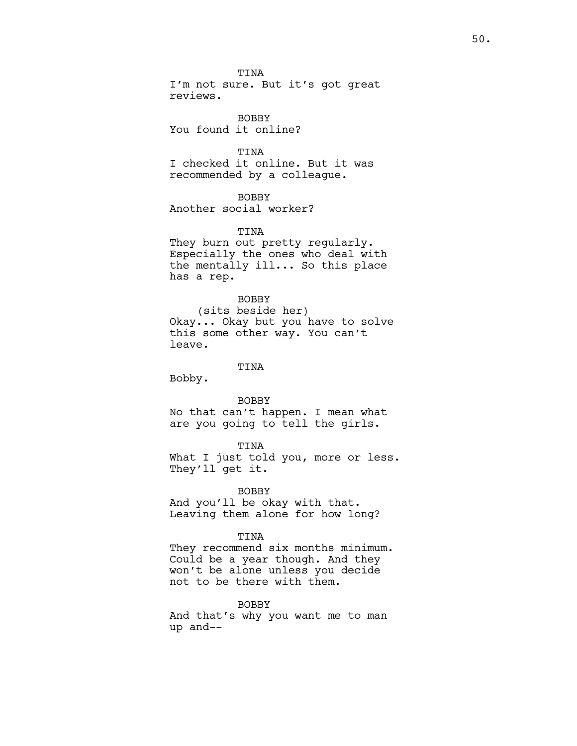TINA I'm not sure. But it's got great reviews.

BOBBY You found it online?

TINA I checked it online. But it was recommended by a colleague.

BOBBY Another social worker?

TINA They burn out pretty regularly. Especially the ones who deal with the mentally ill... So this place has a rep.

BOBBY (sits beside her) Okay... Okay but you have to solve this some other way. You can't leave.

TINA Bobby.

BOBBY No that can't happen. I mean what are you going to tell the girls.

TINA What I just told you, more or less. They'll get it.

BOBBY And you'll be okay with that. Leaving them alone for how long?

TINA

They recommend six months minimum. Could be a year though. And they won't be alone unless you decide not to be there with them.

BOBBY

And that's why you want me to man up and--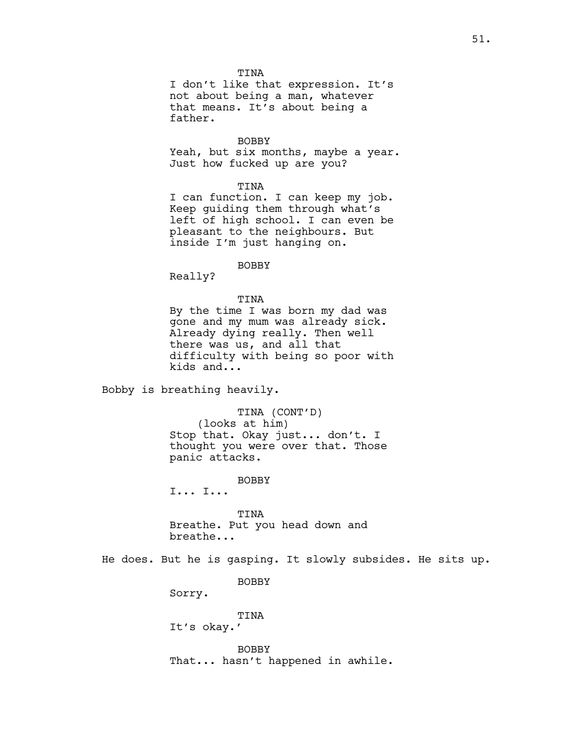TINA

I don't like that expression. It's not about being a man, whatever that means. It's about being a father.

BOBBY

Yeah, but six months, maybe a year. Just how fucked up are you?

# TINA

I can function. I can keep my job. Keep guiding them through what's left of high school. I can even be pleasant to the neighbours. But inside I'm just hanging on.

BOBBY

Really?

# TINA By the time I was born my dad was gone and my mum was already sick. Already dying really. Then well there was us, and all that difficulty with being so poor with kids and...

Bobby is breathing heavily.

TINA (CONT'D) (looks at him) Stop that. Okay just... don't. I thought you were over that. Those panic attacks.

BOBBY

I... I...

TINA Breathe. Put you head down and breathe...

He does. But he is gasping. It slowly subsides. He sits up.

BOBBY

Sorry.

TINA It's okay.'

BOBBY That... hasn't happened in awhile.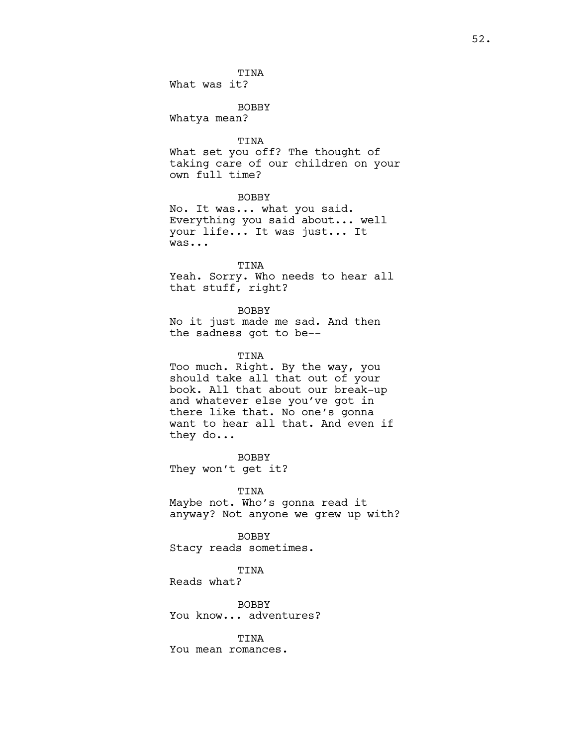BOBBY Whatya mean?

TINA

What set you off? The thought of taking care of our children on your own full time?

BOBBY

No. It was... what you said. Everything you said about... well your life... It was just... It was...

TINA

Yeah. Sorry. Who needs to hear all that stuff, right?

BOBBY

No it just made me sad. And then the sadness got to be--

TINA

Too much. Right. By the way, you should take all that out of your book. All that about our break-up and whatever else you've got in there like that. No one's gonna want to hear all that. And even if they do...

BOBBY They won't get it?

TINA Maybe not. Who's gonna read it anyway? Not anyone we grew up with?

BOBBY Stacy reads sometimes.

TINA

Reads what?

BOBBY You know... adventures?

TINA You mean romances.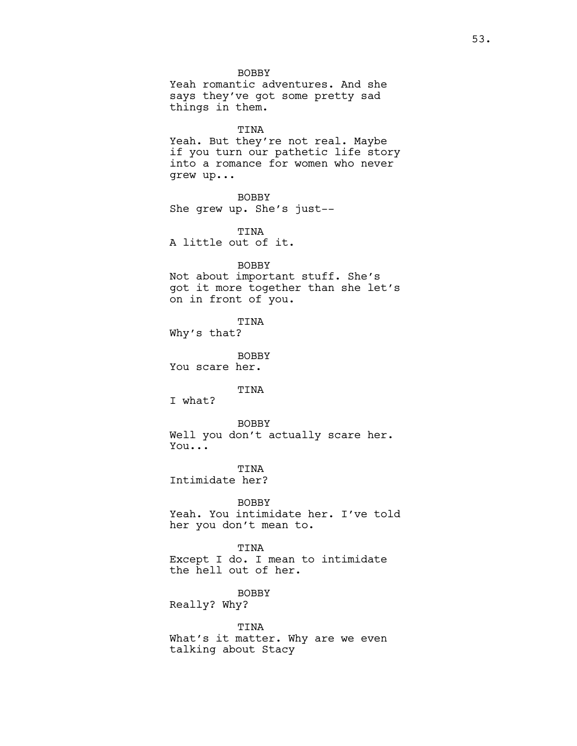BOBBY Yeah romantic adventures. And she says they've got some pretty sad things in them. TINA Yeah. But they're not real. Maybe if you turn our pathetic life story into a romance for women who never grew up... BOBBY She grew up. She's just-- TINA A little out of it. BOBBY Not about important stuff. She's got it more together than she let's on in front of you. TINA Why's that? BOBBY You scare her. TINA I what? BOBBY Well you don't actually scare her. You... TINA Intimidate her? BOBBY Yeah. You intimidate her. I've told her you don't mean to. TINA Except I do. I mean to intimidate the hell out of her. BOBBY Really? Why? TINA

What's it matter. Why are we even talking about Stacy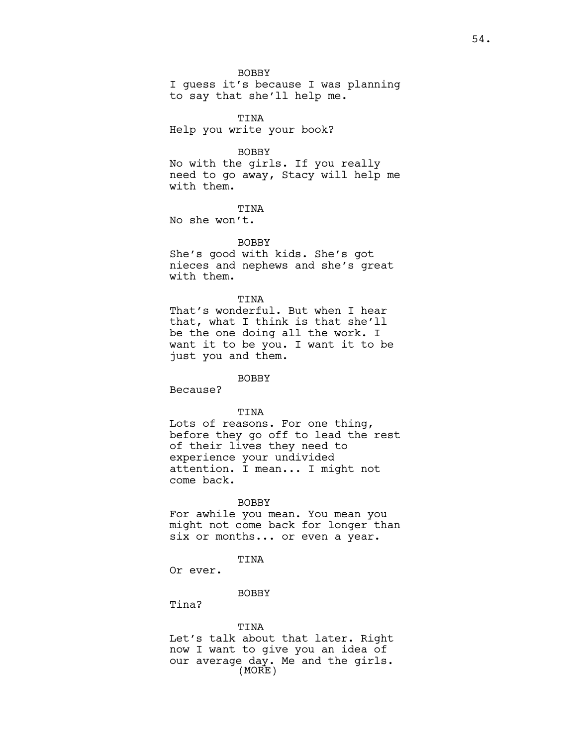BOBBY I guess it's because I was planning to say that she'll help me.

TINA Help you write your book?

BOBBY

No with the girls. If you really need to go away, Stacy will help me with them.

TINA

No she won't.

BOBBY She's good with kids. She's got nieces and nephews and she's great with them.

TINA

That's wonderful. But when I hear that, what I think is that she'll be the one doing all the work. I want it to be you. I want it to be just you and them.

# BOBBY

Because?

# TINA

Lots of reasons. For one thing, before they go off to lead the rest of their lives they need to experience your undivided attention. I mean... I might not come back.

# BOBBY

For awhile you mean. You mean you might not come back for longer than six or months... or even a year.

### TINA

Or ever.

# **BOBBY**

Tina?

### TINA

Let's talk about that later. Right now I want to give you an idea of our average day. Me and the girls. (MORE)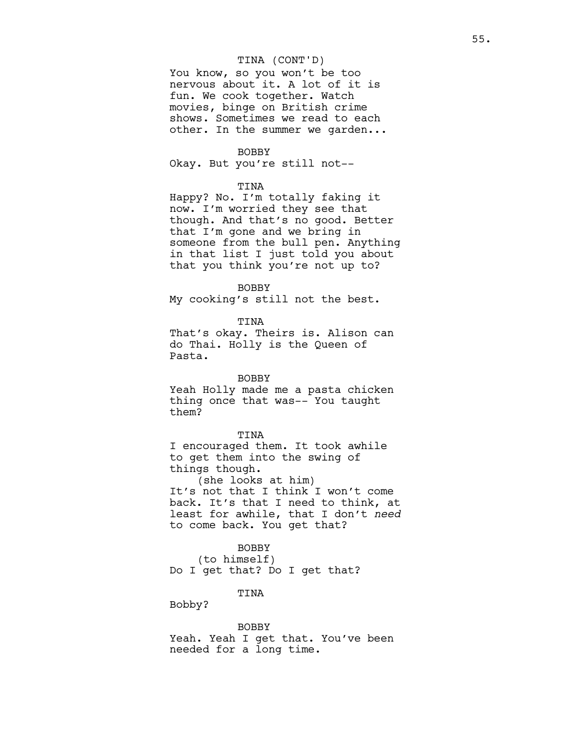### TINA (CONT'D)

You know, so you won't be too nervous about it. A lot of it is fun. We cook together. Watch movies, binge on British crime shows. Sometimes we read to each other. In the summer we garden...

### BOBBY

Okay. But you're still not--

# TINA

Happy? No. I'm totally faking it now. I'm worried they see that though. And that's no good. Better that I'm gone and we bring in someone from the bull pen. Anything in that list I just told you about that you think you're not up to?

BOBBY

My cooking's still not the best.

TINA

That's okay. Theirs is. Alison can do Thai. Holly is the Queen of Pasta.

# BOBBY

Yeah Holly made me a pasta chicken thing once that was-- You taught them?

#### TINA

I encouraged them. It took awhile to get them into the swing of things though.

(she looks at him) It's not that I think I won't come back. It's that I need to think, at least for awhile, that I don't need to come back. You get that?

# BOBBY

(to himself) Do I get that? Do I get that?

# TINA

Bobby?

BOBBY Yeah. Yeah I get that. You've been needed for a long time.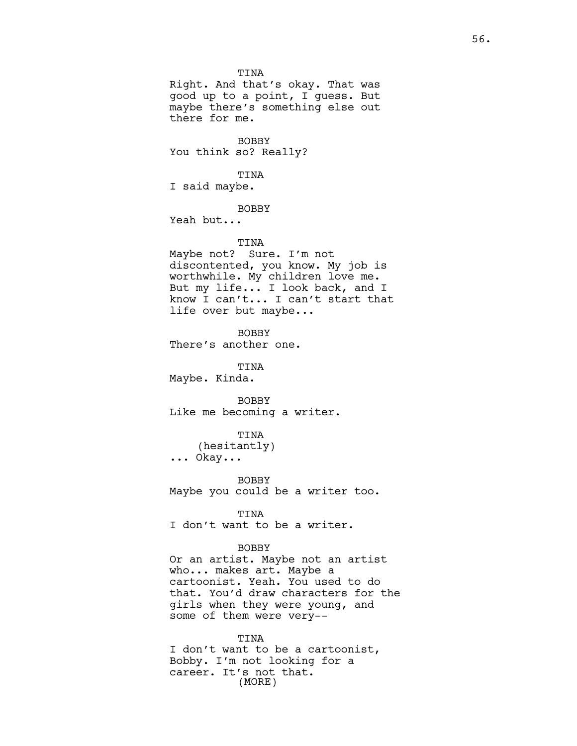TINA Right. And that's okay. That was good up to a point, I guess. But maybe there's something else out there for me. BOBBY You think so? Really? TINA I said maybe. BOBBY Yeah but... TINA Maybe not? Sure. I'm not discontented, you know. My job is worthwhile. My children love me. But my life... I look back, and I know I can't... I can't start that life over but maybe... BOBBY There's another one. TINA Maybe. Kinda. BOBBY Like me becoming a writer. TINA (hesitantly) ... Okay... BOBBY Maybe you could be a writer too. TINA I don't want to be a writer. BOBBY Or an artist. Maybe not an artist who... makes art. Maybe a cartoonist. Yeah. You used to do that. You'd draw characters for the girls when they were young, and some of them were very--

TINA I don't want to be a cartoonist, Bobby. I'm not looking for a career. It's not that. (MORE)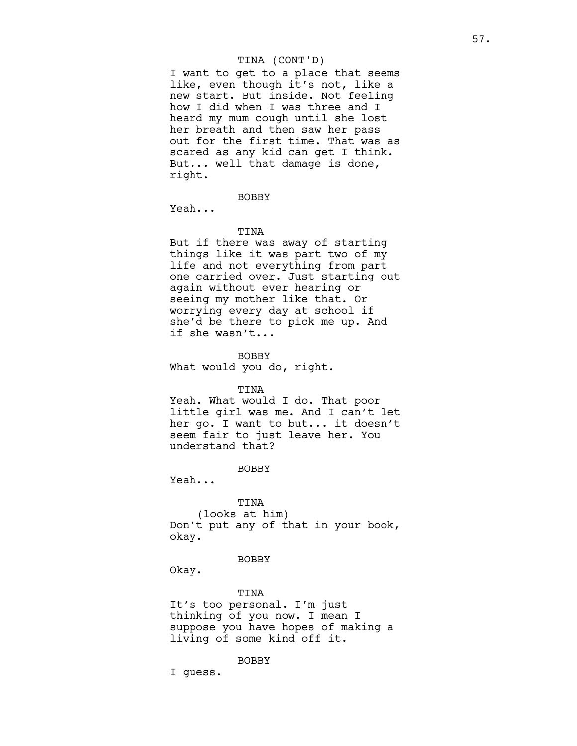# TINA (CONT'D)

I want to get to a place that seems like, even though it's not, like a new start. But inside. Not feeling how I did when I was three and I heard my mum cough until she lost her breath and then saw her pass out for the first time. That was as scared as any kid can get I think. But... well that damage is done, right.

BOBBY

Yeah...

#### TINA

But if there was away of starting things like it was part two of my life and not everything from part one carried over. Just starting out again without ever hearing or seeing my mother like that. Or worrying every day at school if she'd be there to pick me up. And if she wasn't...

BOBBY What would you do, right.

#### TINA

Yeah. What would I do. That poor little girl was me. And I can't let her go. I want to but... it doesn't seem fair to just leave her. You understand that?

**BOBBY** 

Yeah...

TINA (looks at him) Don't put any of that in your book, okay.

# BOBBY

Okay.

### TINA

It's too personal. I'm just thinking of you now. I mean I suppose you have hopes of making a living of some kind off it.

# BOBBY

I guess.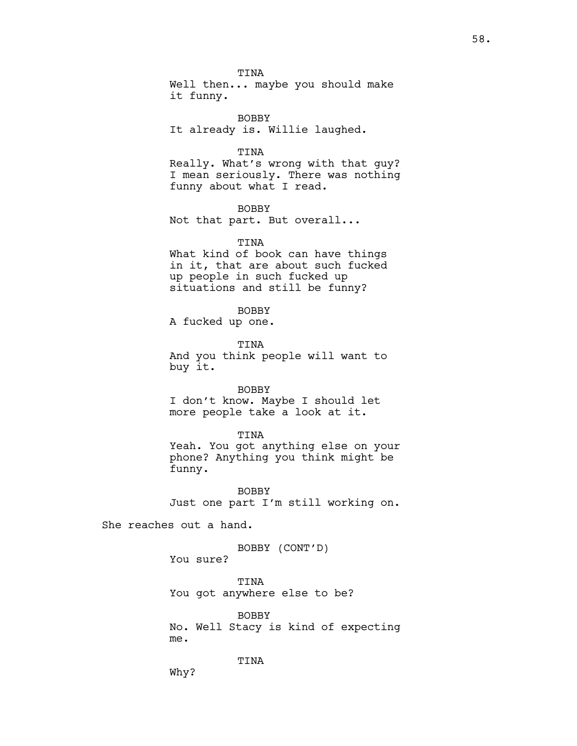TINA Well then... maybe you should make it funny.

BOBBY It already is. Willie laughed.

# TINA

Really. What's wrong with that guy? I mean seriously. There was nothing funny about what I read.

BOBBY

Not that part. But overall...

TINA

What kind of book can have things in it, that are about such fucked up people in such fucked up situations and still be funny?

#### BOBBY

A fucked up one.

TINA And you think people will want to buy it.

### BOBBY

I don't know. Maybe I should let more people take a look at it.

#### TINA

Yeah. You got anything else on your phone? Anything you think might be funny.

BOBBY Just one part I'm still working on.

She reaches out a hand.

BOBBY (CONT'D)

You sure?

TINA You got anywhere else to be?

BOBBY No. Well Stacy is kind of expecting me.

TINA

58.

Why?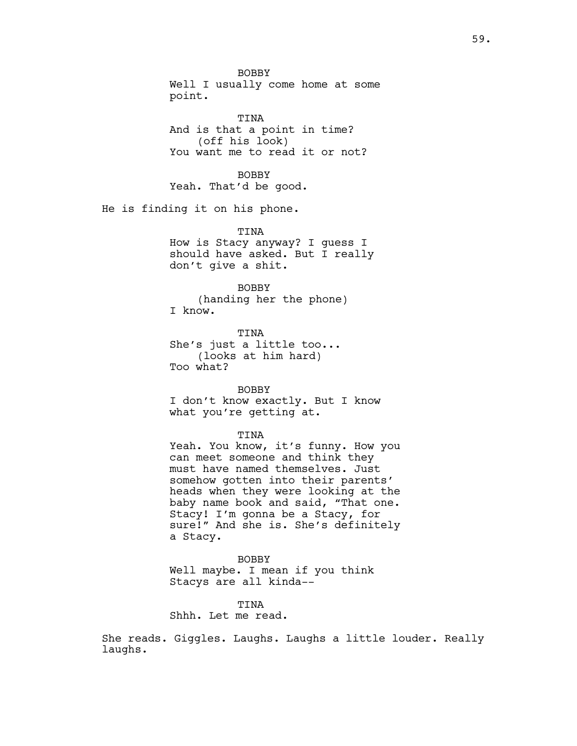BOBBY Well I usually come home at some point. TINA And is that a point in time? (off his look) You want me to read it or not? **BOBBY** Yeah. That'd be good. He is finding it on his phone. TINA How is Stacy anyway? I guess I should have asked. But I really don't give a shit. BOBBY (handing her the phone) I know. TINA She's just a little too... (looks at him hard) Too what? BOBBY I don't know exactly. But I know what you're getting at. TINA Yeah. You know, it's funny. How you can meet someone and think they must have named themselves. Just somehow gotten into their parents' heads when they were looking at the baby name book and said, "That one.

Stacy! I'm gonna be a Stacy, for sure!" And she is. She's definitely a Stacy.

BOBBY Well maybe. I mean if you think Stacys are all kinda--

TINA Shhh. Let me read.

She reads. Giggles. Laughs. Laughs a little louder. Really laughs.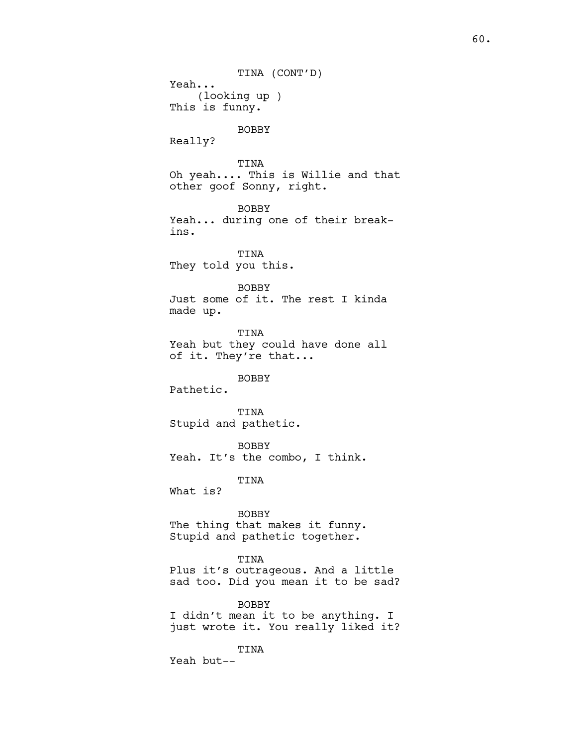TINA (CONT'D) Yeah... (looking up ) This is funny. BOBBY Really? TINA Oh yeah.... This is Willie and that other goof Sonny, right. BOBBY Yeah... during one of their breakins. TINA They told you this. BOBBY Just some of it. The rest I kinda made up. TINA Yeah but they could have done all of it. They're that... BOBBY Pathetic. TINA Stupid and pathetic. BOBBY Yeah. It's the combo, I think. TINA What is? BOBBY The thing that makes it funny. Stupid and pathetic together. TINA Plus it's outrageous. And a little sad too. Did you mean it to be sad? BOBBY I didn't mean it to be anything. I just wrote it. You really liked it?

TINA Yeah but--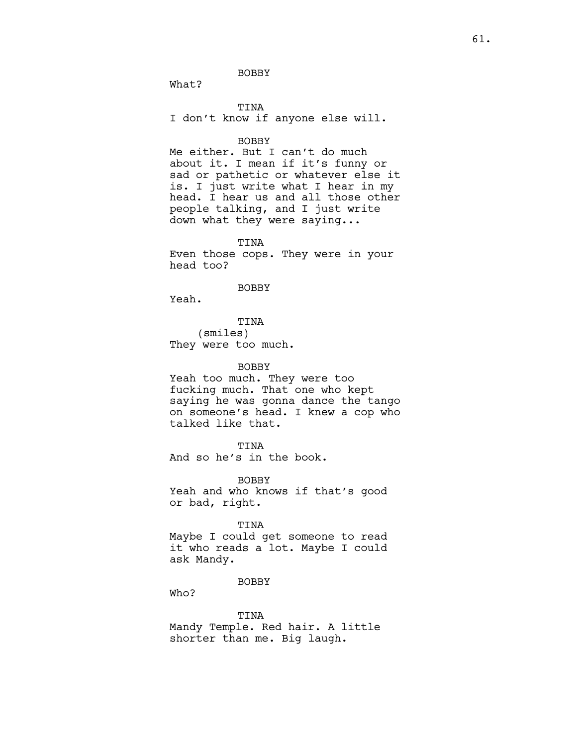BOBBY

What?

TINA I don't know if anyone else will.

### BOBBY

Me either. But I can't do much about it. I mean if it's funny or sad or pathetic or whatever else it is. I just write what I hear in my head. I hear us and all those other people talking, and I just write down what they were saying...

TINA Even those cops. They were in your head too?

### BOBBY

Yeah.

TINA (smiles) They were too much.

# BOBBY

Yeah too much. They were too fucking much. That one who kept saying he was gonna dance the tango on someone's head. I knew a cop who talked like that.

TINA

And so he's in the book.

BOBBY Yeah and who knows if that's good or bad, right.

# TINA

Maybe I could get someone to read it who reads a lot. Maybe I could ask Mandy.

# BOBBY

Who?

TINA Mandy Temple. Red hair. A little shorter than me. Big laugh.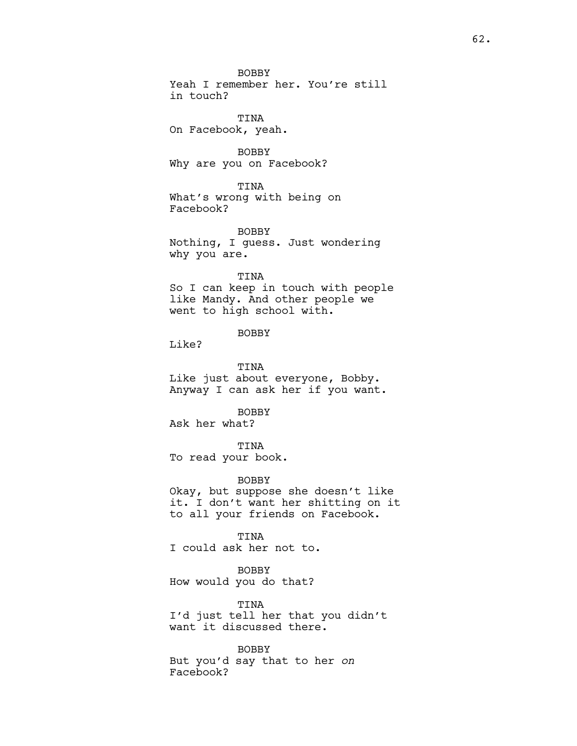Yeah I remember her. You're still in touch?

TINA On Facebook, yeah.

BOBBY Why are you on Facebook?

TINA What's wrong with being on Facebook?

BOBBY Nothing, I guess. Just wondering why you are.

### TINA

So I can keep in touch with people like Mandy. And other people we went to high school with.

# BOBBY

Like?

TINA Like just about everyone, Bobby. Anyway I can ask her if you want.

BOBBY

Ask her what?

TINA To read your book.

BOBBY

Okay, but suppose she doesn't like it. I don't want her shitting on it to all your friends on Facebook.

TINA I could ask her not to.

BOBBY How would you do that?

TINA I'd just tell her that you didn't want it discussed there.

BOBBY But you'd say that to her on Facebook?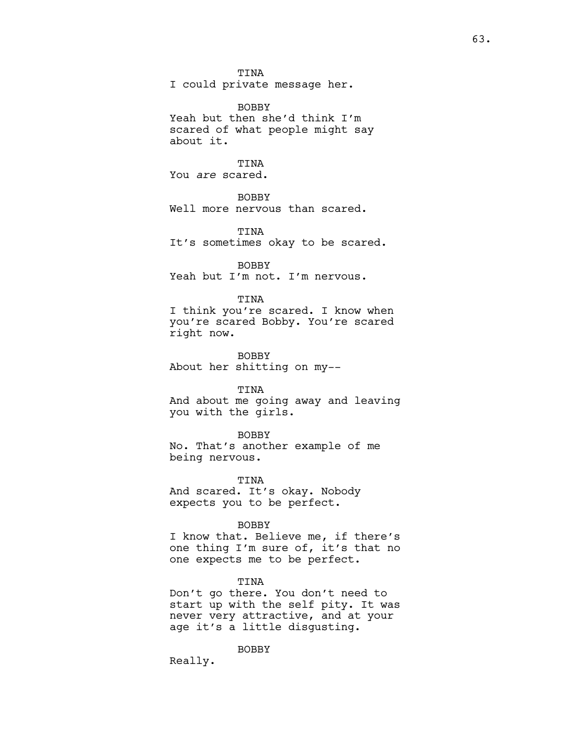TINA

I could private message her.

BOBBY

Yeah but then she'd think I'm scared of what people might say about it.

TINA

You are scared.

BOBBY

Well more nervous than scared.

TINA It's sometimes okay to be scared.

BOBBY Yeah but I'm not. I'm nervous.

TINA

I think you're scared. I know when you're scared Bobby. You're scared right now.

BOBBY About her shitting on my--

TINA

And about me going away and leaving you with the girls.

BOBBY

No. That's another example of me being nervous.

TINA And scared. It's okay. Nobody expects you to be perfect.

BOBBY

I know that. Believe me, if there's one thing I'm sure of, it's that no one expects me to be perfect.

TINA

Don't go there. You don't need to start up with the self pity. It was never very attractive, and at your age it's a little disgusting.

BOBBY

Really.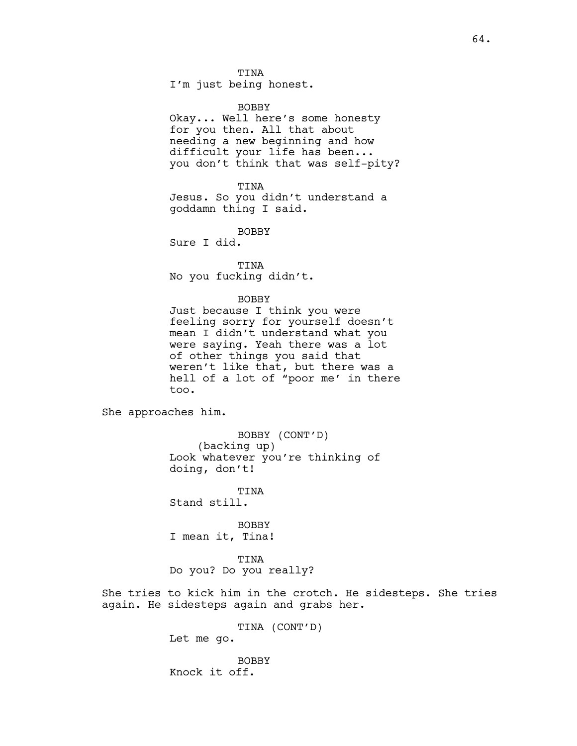I'm just being honest.

### BOBBY

Okay... Well here's some honesty for you then. All that about needing a new beginning and how difficult your life has been... you don't think that was self-pity?

### TINA

Jesus. So you didn't understand a goddamn thing I said.

BOBBY

Sure I did.

TINA No you fucking didn't.

# **BOBBY**

Just because I think you were feeling sorry for yourself doesn't mean I didn't understand what you were saying. Yeah there was a lot of other things you said that weren't like that, but there was a hell of a lot of "poor me' in there too.

She approaches him.

BOBBY (CONT'D) (backing up) Look whatever you're thinking of doing, don't!

TINA Stand still.

BOBBY I mean it, Tina!

TINA Do you? Do you really?

She tries to kick him in the crotch. He sidesteps. She tries again. He sidesteps again and grabs her.

> TINA (CONT'D) Let me go.

BOBBY Knock it off.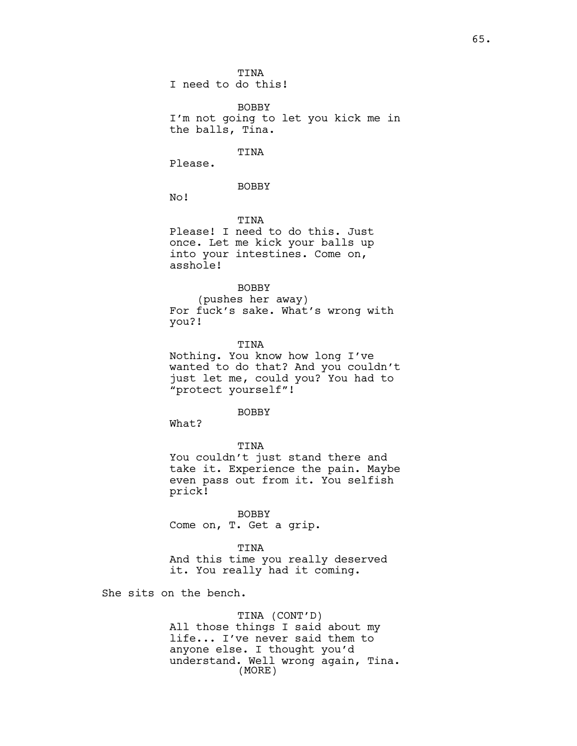BOBBY I'm not going to let you kick me in the balls, Tina.

# TINA

Please.

BOBBY

No!

TINA Please! I need to do this. Just once. Let me kick your balls up into your intestines. Come on, asshole!

#### BOBBY

(pushes her away) For fuck's sake. What's wrong with you?!

**TINA** 

Nothing. You know how long I've wanted to do that? And you couldn't just let me, could you? You had to "protect yourself"!

#### BOBBY

What?

TINA You couldn't just stand there and take it. Experience the pain. Maybe even pass out from it. You selfish prick!

BOBBY Come on, T. Get a grip.

TINA And this time you really deserved it. You really had it coming.

She sits on the bench.

TINA (CONT'D) All those things I said about my life... I've never said them to anyone else. I thought you'd understand. Well wrong again, Tina. (MORE)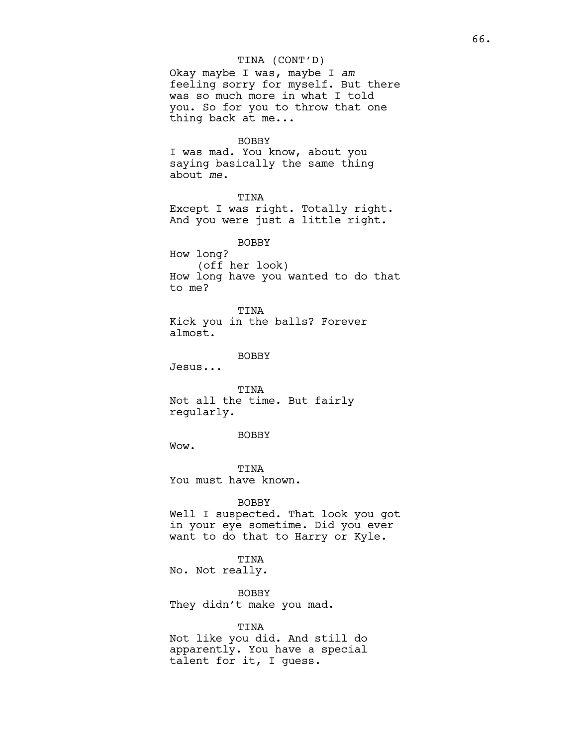# TINA (CONT'D)

Okay maybe I was, maybe I am feeling sorry for myself. But there was so much more in what I told you. So for you to throw that one thing back at me...

#### BOBBY

I was mad. You know, about you saying basically the same thing about me.

TINA Except I was right. Totally right. And you were just a little right.

BOBBY How long? (off her look) How long have you wanted to do that to me?

TINA Kick you in the balls? Forever almost.

BOBBY

Jesus...

TINA Not all the time. But fairly regularly.

BOBBY

Wow.

TINA You must have known.

BOBBY

Well I suspected. That look you got in your eye sometime. Did you ever want to do that to Harry or Kyle.

TINA No. Not really.

BOBBY They didn't make you mad.

TINA

Not like you did. And still do apparently. You have a special talent for it, I guess.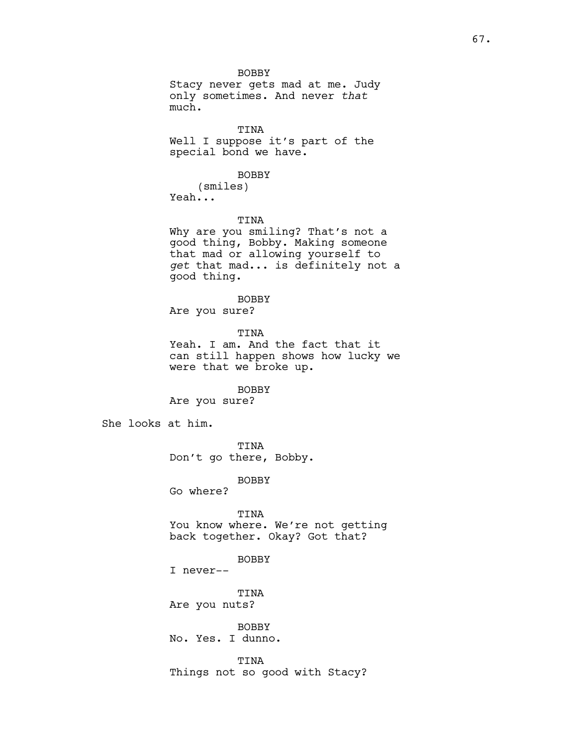BOBBY Stacy never gets mad at me. Judy only sometimes. And never that much.

TINA Well I suppose it's part of the special bond we have.

#### BOBBY

(smiles) Yeah...

# TINA

Why are you smiling? That's not a good thing, Bobby. Making someone that mad or allowing yourself to get that mad... is definitely not a good thing.

# BOBBY

Are you sure?

# TINA Yeah. I am. And the fact that it can still happen shows how lucky we were that we broke up.

# BOBBY

Are you sure?

She looks at him.

TINA Don't go there, Bobby.

BOBBY

Go where?

TINA You know where. We're not getting back together. Okay? Got that?

# BOBBY

I never--

TINA Are you nuts?

BOBBY No. Yes. I dunno.

TINA Things not so good with Stacy?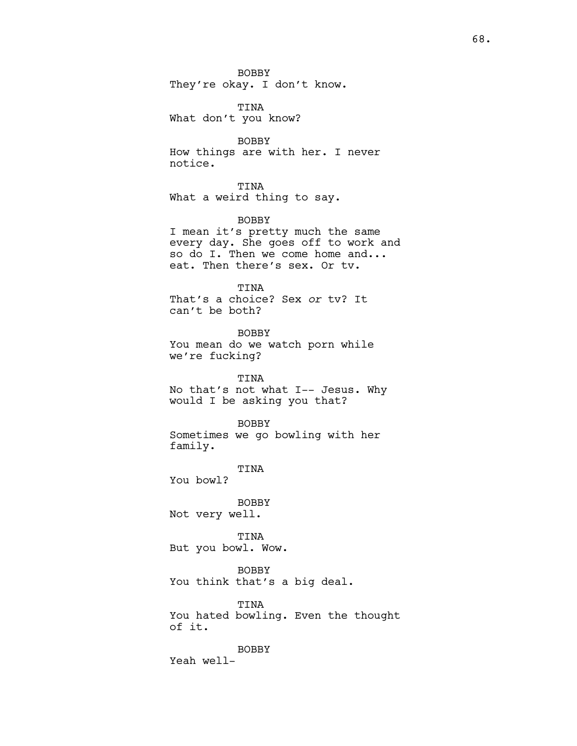BOBBY They're okay. I don't know.

TINA What don't you know?

BOBBY How things are with her. I never notice.

TINA What a weird thing to say.

BOBBY I mean it's pretty much the same every day. She goes off to work and so do I. Then we come home and... eat. Then there's sex. Or tv.

TINA That's a choice? Sex or tv? It can't be both?

BOBBY You mean do we watch porn while we're fucking?

TINA No that's not what I-- Jesus. Why would I be asking you that?

BOBBY Sometimes we go bowling with her family.

TINA

You bowl?

BOBBY Not very well.

TINA But you bowl. Wow.

BOBBY You think that's a big deal.

TINA You hated bowling. Even the thought of it.

BOBBY Yeah well-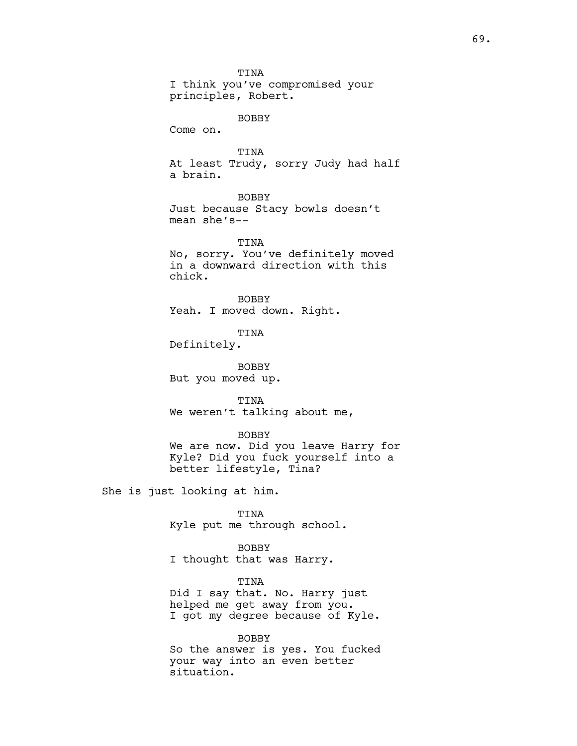TINA I think you've compromised your principles, Robert.

BOBBY

Come on.

TINA At least Trudy, sorry Judy had half a brain.

# BOBBY

Just because Stacy bowls doesn't mean she's--

TINA No, sorry. You've definitely moved in a downward direction with this chick.

**BOBBY** Yeah. I moved down. Right.

TINA

Definitely.

BOBBY But you moved up.

TINA We weren't talking about me,

### BOBBY

We are now. Did you leave Harry for Kyle? Did you fuck yourself into a better lifestyle, Tina?

She is just looking at him.

TINA Kyle put me through school.

BOBBY I thought that was Harry.

TINA Did I say that. No. Harry just helped me get away from you. I got my degree because of Kyle.

#### BOBBY

So the answer is yes. You fucked your way into an even better situation.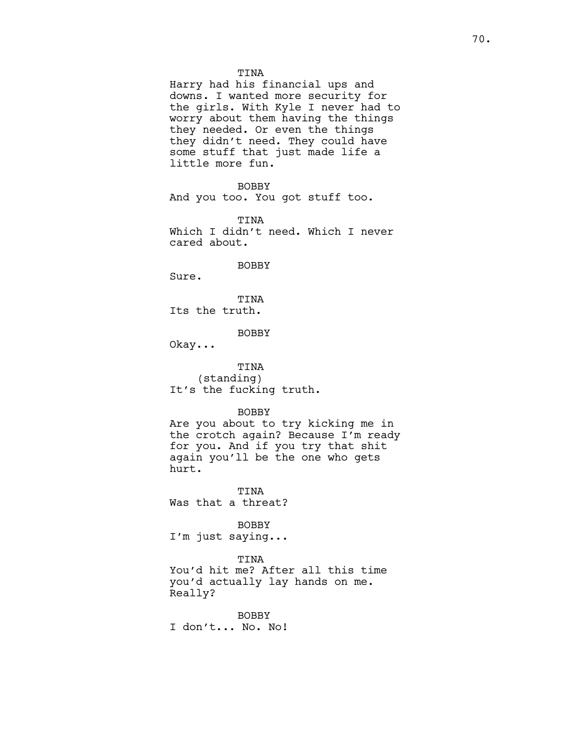Harry had his financial ups and downs. I wanted more security for the girls. With Kyle I never had to worry about them having the things they needed. Or even the things they didn't need. They could have some stuff that just made life a little more fun.

BOBBY And you too. You got stuff too.

TINA Which I didn't need. Which I never cared about.

BOBBY

Sure.

TINA Its the truth.

# BOBBY

Okay...

TINA (standing) It's the fucking truth.

### BOBBY

Are you about to try kicking me in the crotch again? Because I'm ready for you. And if you try that shit again you'll be the one who gets hurt.

**TINA** Was that a threat?

BOBBY

I'm just saying...

# TINA

You'd hit me? After all this time you'd actually lay hands on me. Really?

BOBBY I don't... No. No!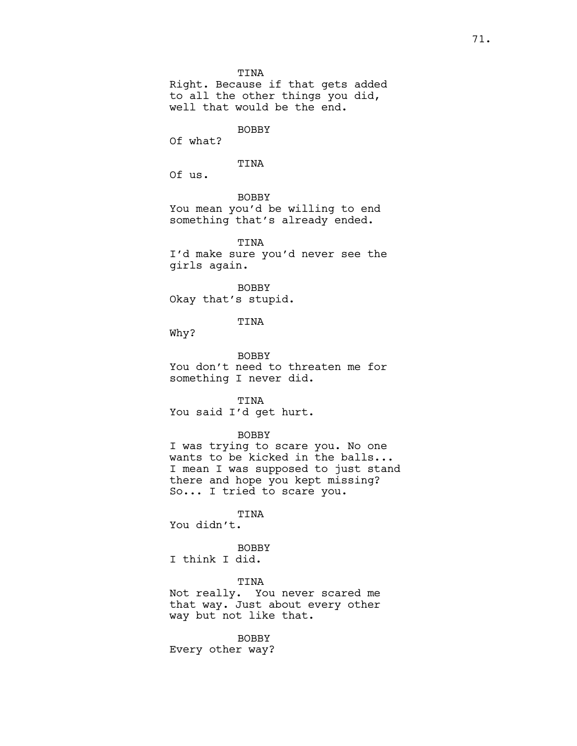TINA

Right. Because if that gets added to all the other things you did, well that would be the end.

BOBBY

Of what?

# TINA

Of us.

BOBBY You mean you'd be willing to end something that's already ended.

TINA I'd make sure you'd never see the girls again.

BOBBY Okay that's stupid.

TINA

Why?

BOBBY You don't need to threaten me for something I never did.

TINA You said I'd get hurt.

# BOBBY

I was trying to scare you. No one wants to be kicked in the balls... I mean I was supposed to just stand there and hope you kept missing? So... I tried to scare you.

TINA

You didn't.

# BOBBY

I think I did.

TINA

Not really. You never scared me that way. Just about every other way but not like that.

BOBBY

Every other way?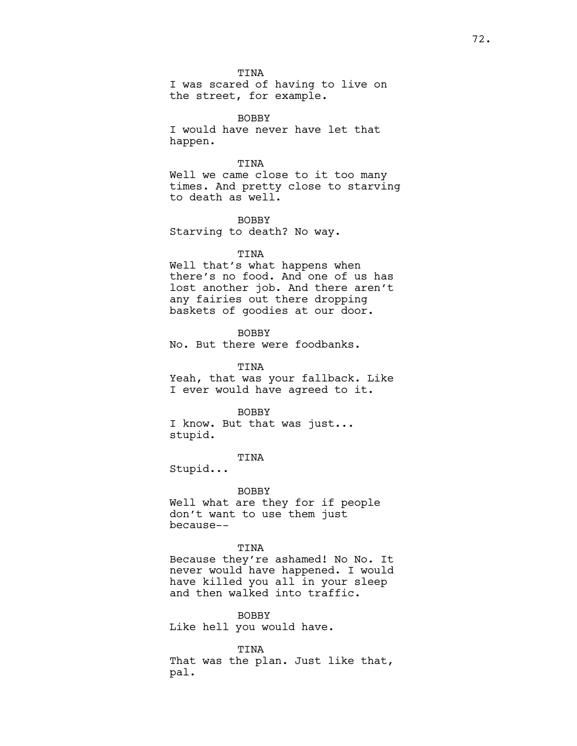TINA

I was scared of having to live on the street, for example.

BOBBY I would have never have let that happen.

TINA

Well we came close to it too many times. And pretty close to starving to death as well.

**BOBBY** Starving to death? No way.

# TINA

Well that's what happens when there's no food. And one of us has lost another job. And there aren't any fairies out there dropping baskets of goodies at our door.

BOBBY No. But there were foodbanks.

TINA Yeah, that was your fallback. Like I ever would have agreed to it.

#### BOBBY

I know. But that was just... stupid.

TINA

Stupid...

BOBBY Well what are they for if people don't want to use them just because--

# TINA

Because they're ashamed! No No. It never would have happened. I would have killed you all in your sleep and then walked into traffic.

BOBBY Like hell you would have.

TINA That was the plan. Just like that, pal.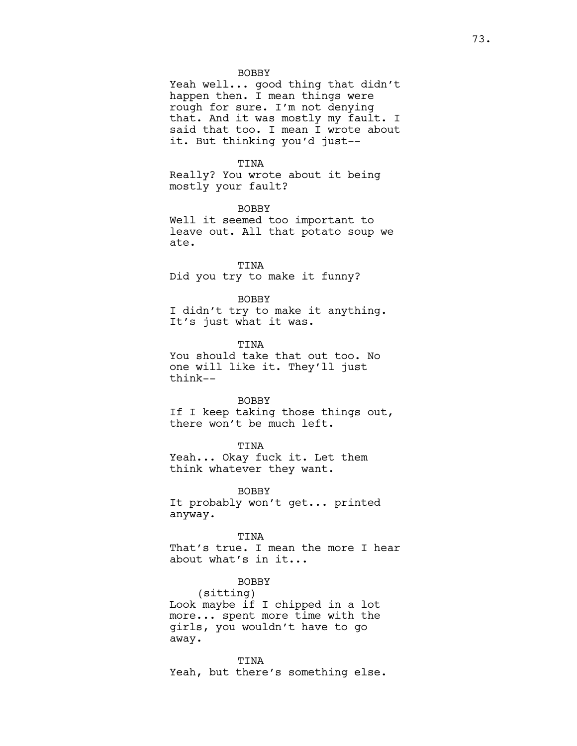Yeah well... good thing that didn't happen then. I mean things were rough for sure. I'm not denying that. And it was mostly my fault. I said that too. I mean I wrote about it. But thinking you'd just--

#### TINA

Really? You wrote about it being mostly your fault?

BOBBY Well it seemed too important to leave out. All that potato soup we ate.

TINA Did you try to make it funny?

#### BOBBY

I didn't try to make it anything. It's just what it was.

**TINA** You should take that out too. No one will like it. They'll just think--

# BOBBY

If I keep taking those things out, there won't be much left.

TINA

Yeah... Okay fuck it. Let them think whatever they want.

BOBBY It probably won't get... printed anyway.

#### TINA

That's true. I mean the more I hear about what's in it...

# BOBBY

(sitting) Look maybe if I chipped in a lot more... spent more time with the girls, you wouldn't have to go away.

TINA Yeah, but there's something else.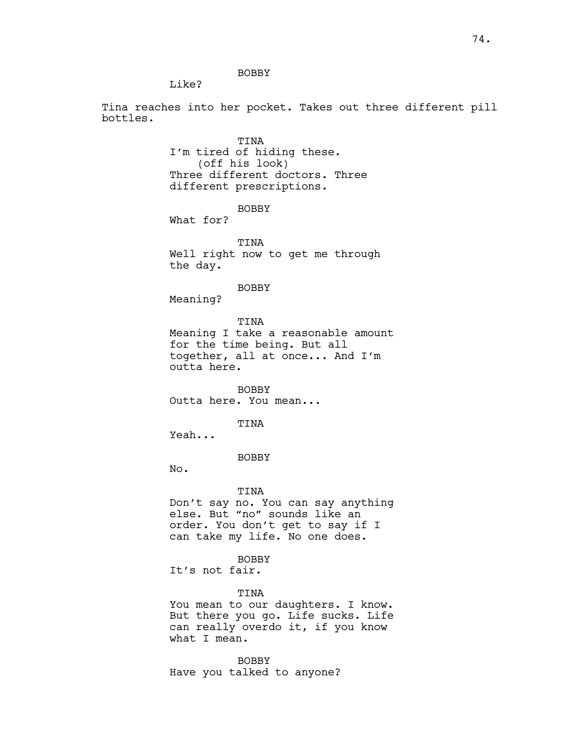Like?

Tina reaches into her pocket. Takes out three different pill bottles.

> TINA I'm tired of hiding these. (off his look) Three different doctors. Three different prescriptions.

> > BOBBY

What for?

TINA Well right now to get me through the day.

BOBBY

Meaning?

TINA Meaning I take a reasonable amount for the time being. But all together, all at once... And I'm outta here.

BOBBY Outta here. You mean...

TINA

Yeah...

BOBBY

No.

TINA Don't say no. You can say anything else. But "no" sounds like an order. You don't get to say if I can take my life. No one does.

BOBBY

It's not fair.

TINA

You mean to our daughters. I know. But there you go. Life sucks. Life can really overdo it, if you know what I mean.

BOBBY Have you talked to anyone?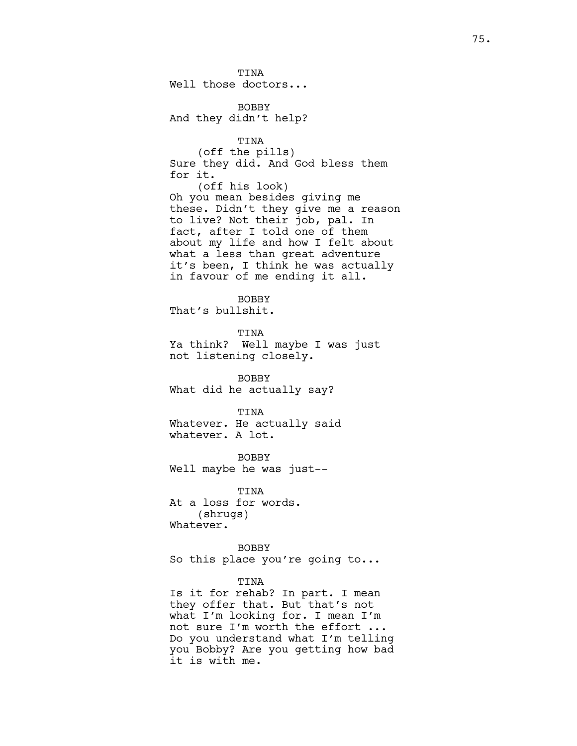TINA Well those doctors...

BOBBY And they didn't help?

TINA (off the pills) Sure they did. And God bless them for it. (off his look) Oh you mean besides giving me these. Didn't they give me a reason to live? Not their job, pal. In fact, after I told one of them about my life and how I felt about what a less than great adventure it's been, I think he was actually in favour of me ending it all.

**BOBBY** That's bullshit.

TINA Ya think? Well maybe I was just not listening closely.

BOBBY What did he actually say?

TINA Whatever. He actually said whatever. A lot.

BOBBY Well maybe he was just--

TINA At a loss for words. (shrugs) Whatever.

**BOBBY** So this place you're going to...

# TINA

Is it for rehab? In part. I mean they offer that. But that's not what I'm looking for. I mean I'm not sure I'm worth the effort ... Do you understand what I'm telling you Bobby? Are you getting how bad it is with me.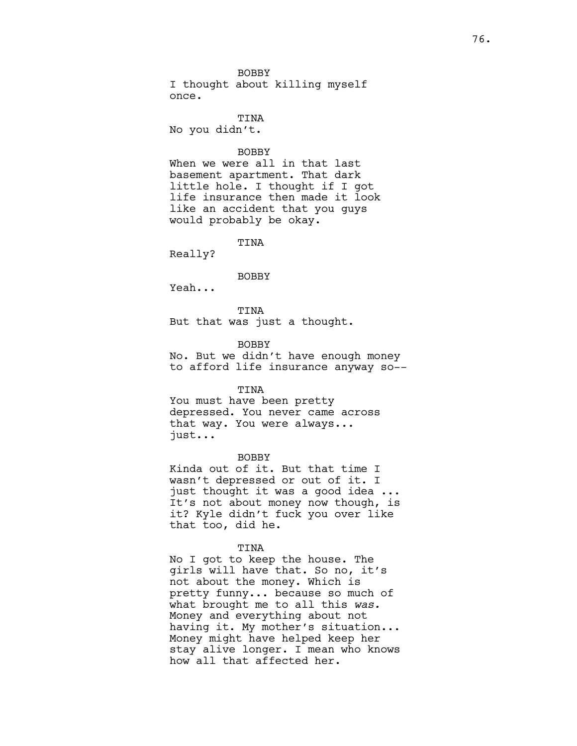BOBBY I thought about killing myself once.

TINA No you didn't.

# BOBBY

When we were all in that last basement apartment. That dark little hole. I thought if I got life insurance then made it look like an accident that you guys would probably be okay.

TINA

Really?

BOBBY

Yeah...

TINA But that was just a thought.

**BOBBY** 

No. But we didn't have enough money to afford life insurance anyway so--

TINA

You must have been pretty depressed. You never came across that way. You were always... just...

BOBBY

Kinda out of it. But that time I wasn't depressed or out of it. I just thought it was a good idea ... It's not about money now though, is it? Kyle didn't fuck you over like that too, did he.

TINA

No I got to keep the house. The girls will have that. So no, it's not about the money. Which is pretty funny... because so much of what brought me to all this was. Money and everything about not having it. My mother's situation... Money might have helped keep her stay alive longer. I mean who knows how all that affected her.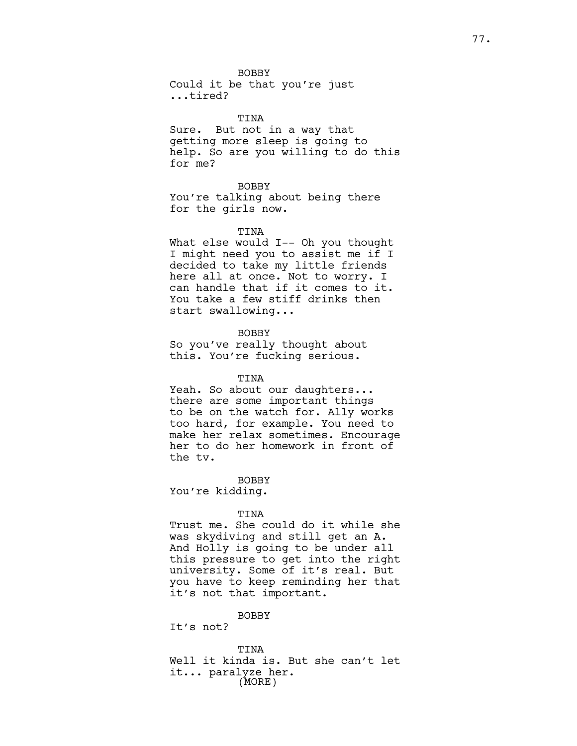Could it be that you're just ...tired?

#### TINA

Sure. But not in a way that getting more sleep is going to help. So are you willing to do this for me?

#### BOBBY

You're talking about being there for the girls now.

#### TINA

What else would I-- Oh you thought I might need you to assist me if I decided to take my little friends here all at once. Not to worry. I can handle that if it comes to it. You take a few stiff drinks then start swallowing...

#### BOBBY

So you've really thought about this. You're fucking serious.

# TINA

Yeah. So about our daughters... there are some important things to be on the watch for. Ally works too hard, for example. You need to make her relax sometimes. Encourage her to do her homework in front of the tv.

BOBBY

You're kidding.

#### TINA

Trust me. She could do it while she was skydiving and still get an A. And Holly is going to be under all this pressure to get into the right university. Some of it's real. But you have to keep reminding her that it's not that important.

# BOBBY

It's not?

TINA Well it kinda is. But she can't let it... paralyze her. (MORE)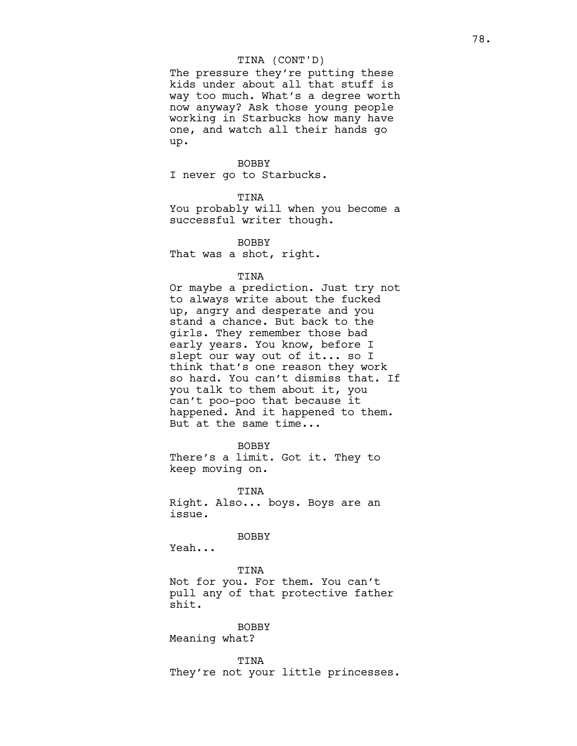# TINA (CONT'D)

The pressure they're putting these kids under about all that stuff is way too much. What's a degree worth now anyway? Ask those young people working in Starbucks how many have one, and watch all their hands go up.

#### BOBBY

I never go to Starbucks.

## TINA

You probably will when you become a successful writer though.

**BOBBY** That was a shot, right.

#### TINA

Or maybe a prediction. Just try not to always write about the fucked up, angry and desperate and you stand a chance. But back to the girls. They remember those bad early years. You know, before I slept our way out of it... so I think that's one reason they work so hard. You can't dismiss that. If you talk to them about it, you can't poo-poo that because it happened. And it happened to them. But at the same time...

BOBBY

There's a limit. Got it. They to keep moving on.

TINA Right. Also... boys. Boys are an issue.

BOBBY

Yeah...

TINA Not for you. For them. You can't pull any of that protective father shit.

# BOBBY

Meaning what?

TINA They're not your little princesses.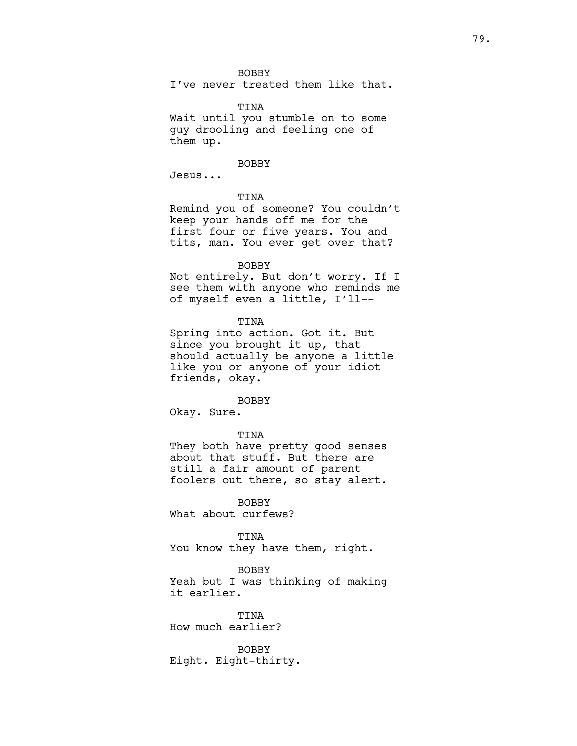I've never treated them like that.

TINA

Wait until you stumble on to some guy drooling and feeling one of them up.

#### BOBBY

Jesus...

# TINA

Remind you of someone? You couldn't keep your hands off me for the first four or five years. You and tits, man. You ever get over that?

#### BOBBY

Not entirely. But don't worry. If I see them with anyone who reminds me of myself even a little, I'll--

TINA

Spring into action. Got it. But since you brought it up, that should actually be anyone a little like you or anyone of your idiot friends, okay.

#### BOBBY

Okay. Sure.

## TINA

They both have pretty good senses about that stuff. But there are still a fair amount of parent foolers out there, so stay alert.

BOBBY

What about curfews?

#### TINA

You know they have them, right.

#### BOBBY

Yeah but I was thinking of making it earlier.

TINA How much earlier?

BOBBY Eight. Eight-thirty.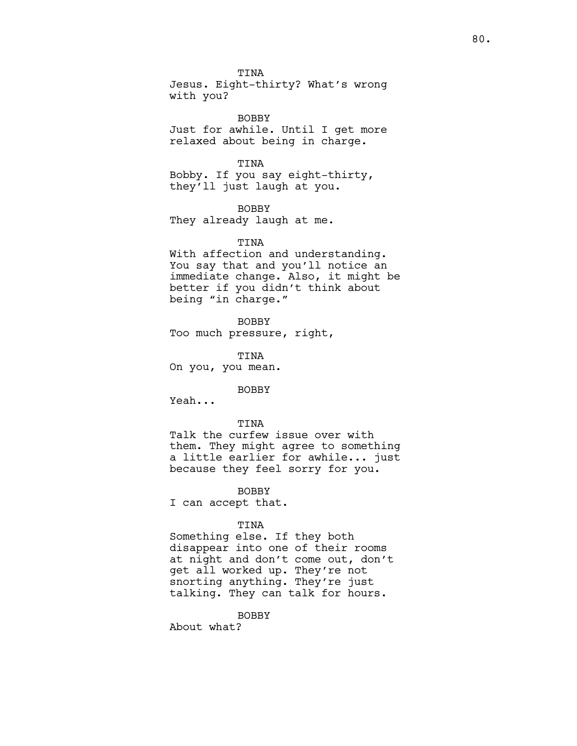TINA Jesus. Eight-thirty? What's wrong with you?

BOBBY Just for awhile. Until I get more relaxed about being in charge.

TINA Bobby. If you say eight-thirty, they'll just laugh at you.

BOBBY They already laugh at me.

# TINA

With affection and understanding. You say that and you'll notice an immediate change. Also, it might be better if you didn't think about being "in charge."

BOBBY

Too much pressure, right,

TINA On you, you mean.

BOBBY

Yeah...

TINA Talk the curfew issue over with them. They might agree to something a little earlier for awhile... just because they feel sorry for you.

BOBBY

I can accept that.

# TINA

Something else. If they both disappear into one of their rooms at night and don't come out, don't get all worked up. They're not snorting anything. They're just talking. They can talk for hours.

BOBBY

About what?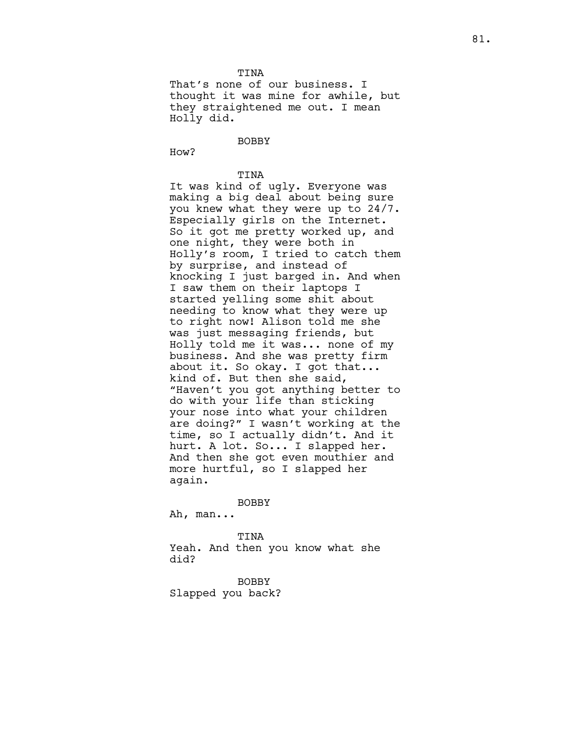TINA That's none of our business. I thought it was mine for awhile, but they straightened me out. I mean Holly did.

BOBBY

How?

TINA

It was kind of ugly. Everyone was making a big deal about being sure you knew what they were up to 24/7. Especially girls on the Internet. So it got me pretty worked up, and one night, they were both in Holly's room, I tried to catch them by surprise, and instead of knocking I just barged in. And when I saw them on their laptops I started yelling some shit about needing to know what they were up to right now! Alison told me she was just messaging friends, but Holly told me it was... none of my business. And she was pretty firm about it. So okay. I got that... kind of. But then she said, "Haven't you got anything better to do with your life than sticking your nose into what your children are doing?" I wasn't working at the time, so I actually didn't. And it hurt. A lot. So... I slapped her. And then she got even mouthier and more hurtful, so I slapped her again.

### BOBBY

Ah, man...

#### TINA

Yeah. And then you know what she did?

BOBBY Slapped you back?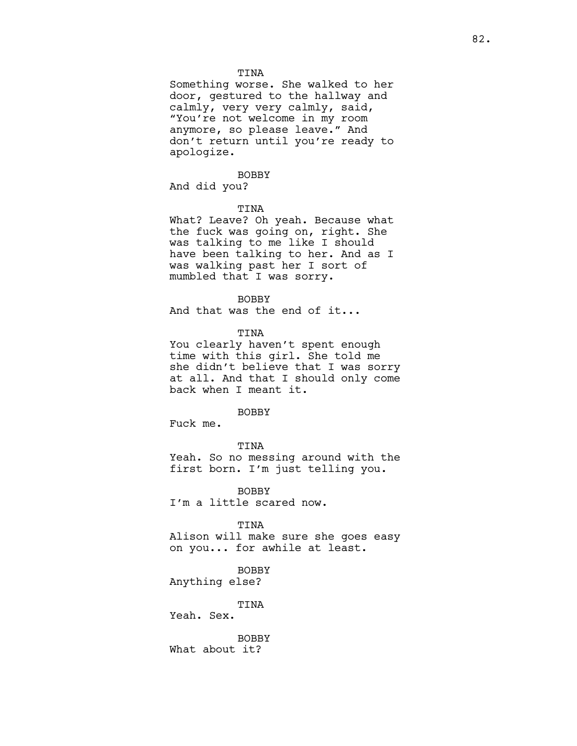## TINA

Something worse. She walked to her door, gestured to the hallway and calmly, very very calmly, said, "You're not welcome in my room anymore, so please leave." And don't return until you're ready to apologize.

# BOBBY

And did you?

# TINA

What? Leave? Oh yeah. Because what the fuck was going on, right. She was talking to me like I should have been talking to her. And as I was walking past her I sort of mumbled that I was sorry.

# **BOBBY**

And that was the end of it...

TINA

You clearly haven't spent enough time with this girl. She told me she didn't believe that I was sorry at all. And that I should only come back when I meant it.

## BOBBY

Fuck me.

TINA

Yeah. So no messing around with the first born. I'm just telling you.

**BOBBY** I'm a little scared now.

TINA

Alison will make sure she goes easy on you... for awhile at least.

BOBBY

Anything else?

TINA

Yeah. Sex.

BOBBY What about it?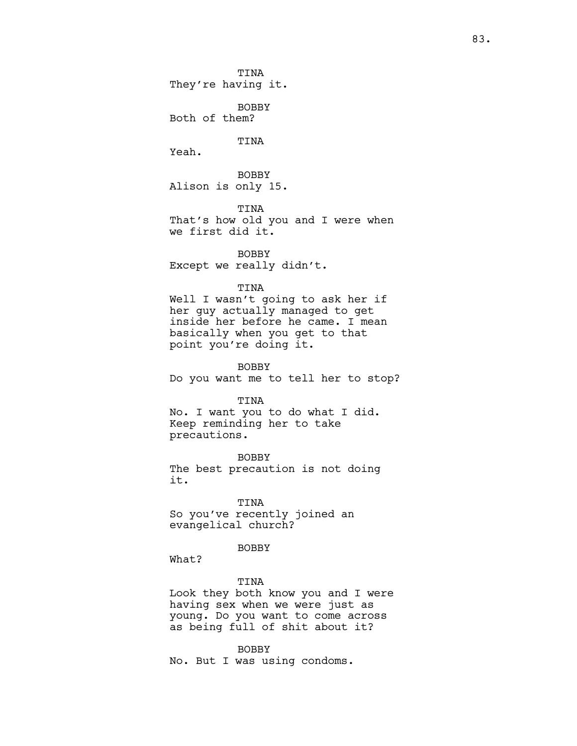TINA They're having it.

BOBBY Both of them?

TINA

Yeah.

BOBBY Alison is only 15.

TINA

That's how old you and I were when we first did it.

BOBBY Except we really didn't.

## TINA

Well I wasn't going to ask her if her guy actually managed to get inside her before he came. I mean basically when you get to that point you're doing it.

BOBBY Do you want me to tell her to stop?

#### TINA

No. I want you to do what I did. Keep reminding her to take precautions.

BOBBY The best precaution is not doing it.

TINA So you've recently joined an evangelical church?

# BOBBY

What?

TINA Look they both know you and I were having sex when we were just as young. Do you want to come across as being full of shit about it?

BOBBY No. But I was using condoms.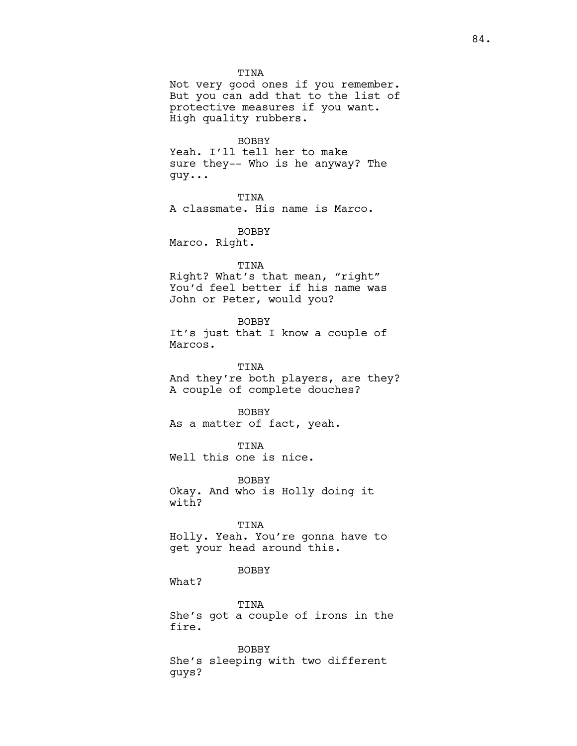TINA

Not very good ones if you remember. But you can add that to the list of protective measures if you want. High quality rubbers.

BOBBY

Yeah. I'll tell her to make sure they-- Who is he anyway? The guy...

TINA

A classmate. His name is Marco.

BOBBY

Marco. Right.

TINA

Right? What's that mean, "right" You'd feel better if his name was John or Peter, would you?

BOBBY

It's just that I know a couple of Marcos.

TINA And they're both players, are they? A couple of complete douches?

BOBBY As a matter of fact, yeah.

TINA Well this one is nice.

BOBBY Okay. And who is Holly doing it with?

TINA

Holly. Yeah. You're gonna have to get your head around this.

BOBBY

What?

TINA She's got a couple of irons in the fire.

BOBBY She's sleeping with two different guys?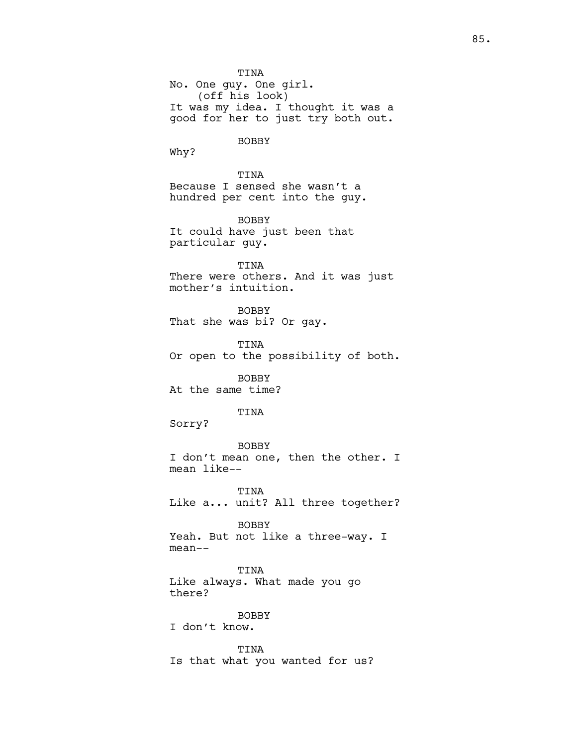TINA No. One guy. One girl. (off his look) It was my idea. I thought it was a good for her to just try both out. BOBBY Why? TINA Because I sensed she wasn't a hundred per cent into the guy. BOBBY It could have just been that particular guy. TINA There were others. And it was just mother's intuition. BOBBY That she was bi? Or gay. TINA Or open to the possibility of both. BOBBY At the same time? TINA Sorry? BOBBY I don't mean one, then the other. I mean like-- TINA Like a... unit? All three together? BOBBY Yeah. But not like a three-way. I mean-- TINA Like always. What made you go there? BOBBY I don't know. TINA

Is that what you wanted for us?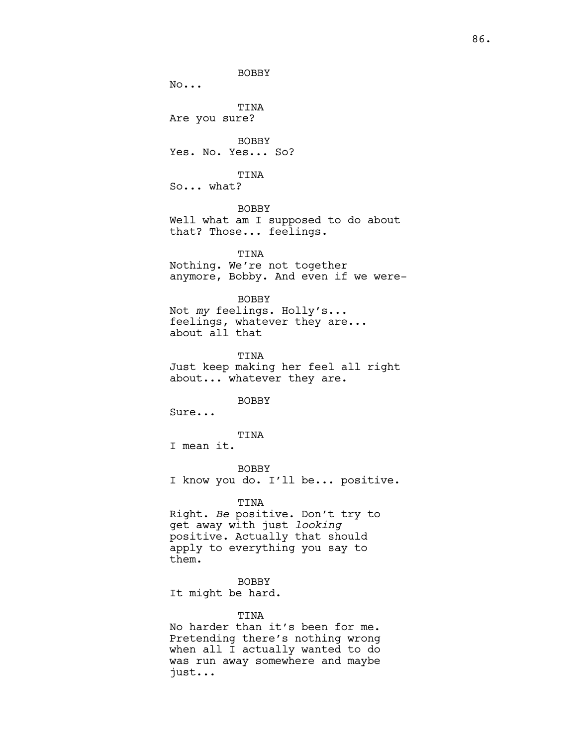BOBBY No... TINA Are you sure? BOBBY Yes. No. Yes... So? TINA So... what? BOBBY Well what am I supposed to do about that? Those... feelings. TINA Nothing. We're not together anymore, Bobby. And even if we were-BOBBY Not my feelings. Holly's... feelings, whatever they are... about all that TINA Just keep making her feel all right about... whatever they are. BOBBY Sure... TINA I mean it. BOBBY I know you do. I'll be... positive. TINA Right. Be positive. Don't try to get away with just looking positive. Actually that should apply to everything you say to them. BOBBY It might be hard. TINA

No harder than it's been for me. Pretending there's nothing wrong when all I actually wanted to do was run away somewhere and maybe just...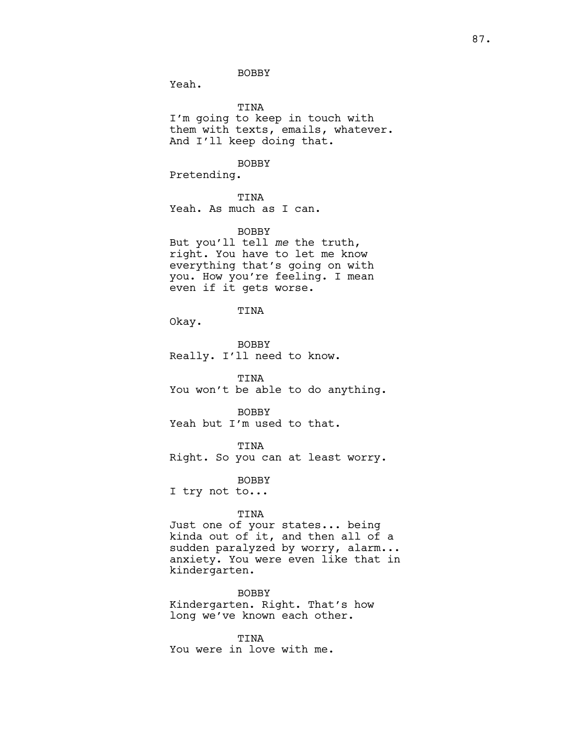Yeah.

TINA

I'm going to keep in touch with them with texts, emails, whatever. And I'll keep doing that.

BOBBY

Pretending.

TINA

Yeah. As much as I can.

BOBBY

But you'll tell me the truth, right. You have to let me know everything that's going on with you. How you're feeling. I mean even if it gets worse.

TINA

Okay.

BOBBY Really. I'll need to know.

TINA You won't be able to do anything.

BOBBY Yeah but I'm used to that.

TINA

Right. So you can at least worry.

BOBBY

I try not to...

# TINA

Just one of your states... being kinda out of it, and then all of a sudden paralyzed by worry, alarm... anxiety. You were even like that in kindergarten.

BOBBY Kindergarten. Right. That's how long we've known each other.

TINA You were in love with me.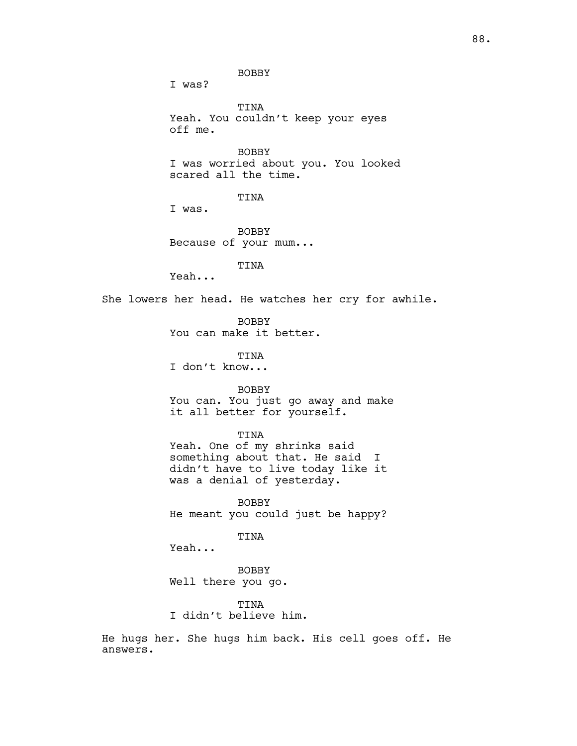I was?

TINA Yeah. You couldn't keep your eyes off me.

BOBBY I was worried about you. You looked scared all the time.

TINA

I was.

BOBBY Because of your mum...

TINA

Yeah...

She lowers her head. He watches her cry for awhile.

BOBBY You can make it better.

TINA I don't know...

BOBBY

You can. You just go away and make it all better for yourself.

#### TINA

Yeah. One of my shrinks said something about that. He said I didn't have to live today like it was a denial of yesterday.

BOBBY He meant you could just be happy?

TINA

Yeah...

BOBBY Well there you go.

TINA I didn't believe him.

He hugs her. She hugs him back. His cell goes off. He answers.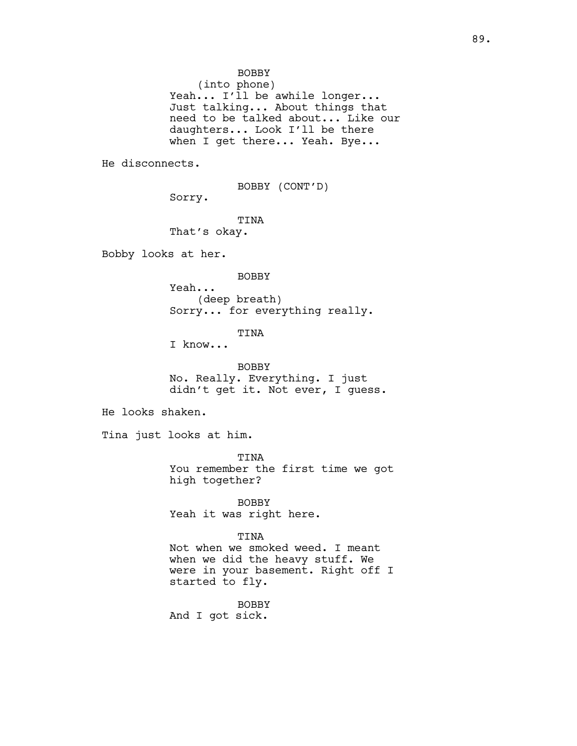(into phone) Yeah... I'll be awhile longer... Just talking... About things that need to be talked about... Like our daughters... Look I'll be there when I get there... Yeah. Bye...

He disconnects.

BOBBY (CONT'D)

Sorry.

TINA That's okay.

Bobby looks at her.

BOBBY

Yeah... (deep breath) Sorry... for everything really.

TINA

I know...

BOBBY No. Really. Everything. I just didn't get it. Not ever, I guess.

He looks shaken.

Tina just looks at him.

TINA You remember the first time we got high together?

BOBBY Yeah it was right here.

TINA

Not when we smoked weed. I meant when we did the heavy stuff. We were in your basement. Right off I started to fly.

BOBBY And I got sick.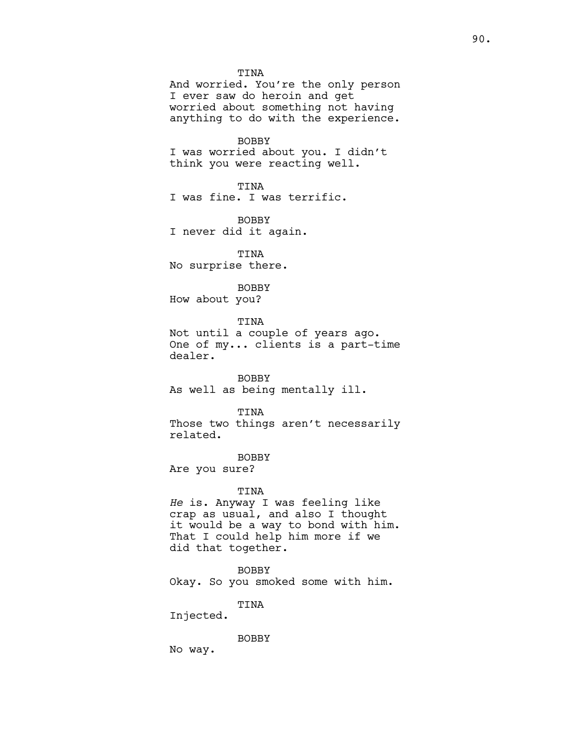TINA And worried. You're the only person I ever saw do heroin and get worried about something not having anything to do with the experience. BOBBY I was worried about you. I didn't think you were reacting well. TINA I was fine. I was terrific. BOBBY I never did it again. TINA No surprise there. BOBBY How about you? TINA Not until a couple of years ago. One of my... clients is a part-time dealer. BOBBY As well as being mentally ill. TINA Those two things aren't necessarily related. BOBBY Are you sure? TINA He is. Anyway I was feeling like crap as usual, and also I thought it would be a way to bond with him. That I could help him more if we did that together. BOBBY

Okay. So you smoked some with him.

TINA

Injected.

BOBBY

No way.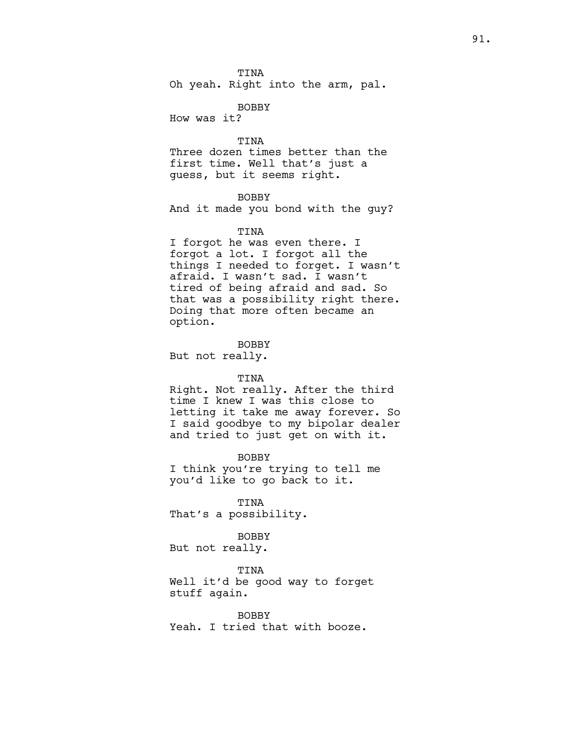TINA Oh yeah. Right into the arm, pal.

BOBBY

How was it?

TINA

Three dozen times better than the first time. Well that's just a guess, but it seems right.

# BOBBY

And it made you bond with the guy?

## TINA

I forgot he was even there. I forgot a lot. I forgot all the things I needed to forget. I wasn't afraid. I wasn't sad. I wasn't tired of being afraid and sad. So that was a possibility right there. Doing that more often became an option.

**BOBBY** 

But not really.

# TINA

Right. Not really. After the third time I knew I was this close to letting it take me away forever. So I said goodbye to my bipolar dealer and tried to just get on with it.

BOBBY I think you're trying to tell me you'd like to go back to it.

TINA That's a possibility.

#### BOBBY

But not really.

#### TINA

Well it'd be good way to forget stuff again.

BOBBY Yeah. I tried that with booze.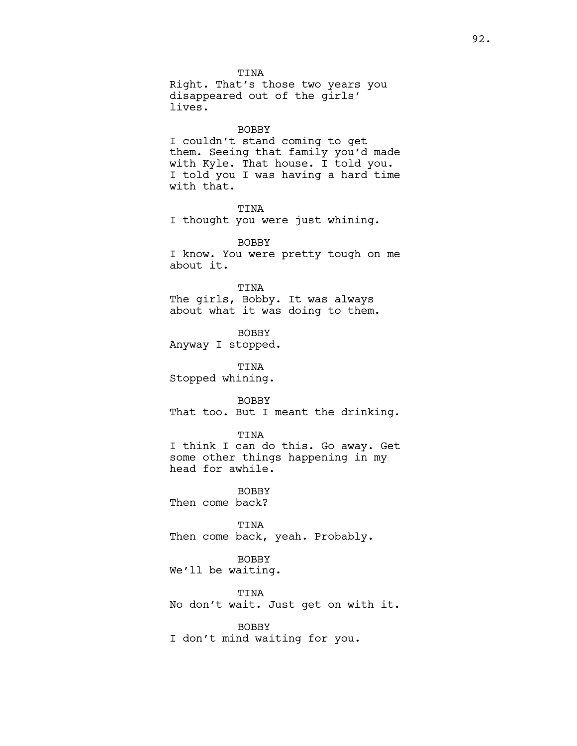TINA Right. That's those two years you disappeared out of the girls' lives.

#### BOBBY

I couldn't stand coming to get them. Seeing that family you'd made with Kyle. That house. I told you. I told you I was having a hard time with that.

TINA I thought you were just whining.

**BOBBY** I know. You were pretty tough on me about it.

TINA The girls, Bobby. It was always about what it was doing to them.

BOBBY Anyway I stopped.

TINA Stopped whining.

BOBBY That too. But I meant the drinking.

#### TINA

I think I can do this. Go away. Get some other things happening in my head for awhile.

**BOBBY** Then come back?

TINA Then come back, yeah. Probably.

# BOBBY

We'll be waiting.

#### TINA

No don't wait. Just get on with it.

#### BOBBY

I don't mind waiting for you.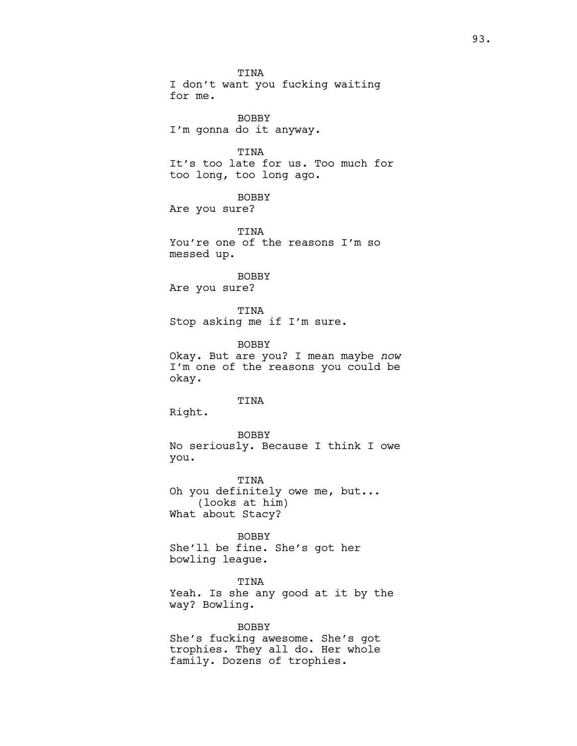TINA I don't want you fucking waiting for me. BOBBY I'm gonna do it anyway. TINA It's too late for us. Too much for too long, too long ago. BOBBY Are you sure? TINA You're one of the reasons I'm so messed up. BOBBY Are you sure? TINA Stop asking me if I'm sure. BOBBY Okay. But are you? I mean maybe now I'm one of the reasons you could be okay. TINA Right. BOBBY No seriously. Because I think I owe you. TINA Oh you definitely owe me, but... (looks at him) What about Stacy? BOBBY She'll be fine. She's got her bowling league. TINA Yeah. Is she any good at it by the

way? Bowling. BOBBY

She's fucking awesome. She's got trophies. They all do. Her whole family. Dozens of trophies.